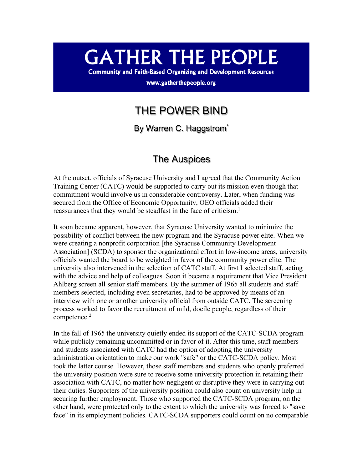# **GATHER THE PEOPLE**

**Community and Faith-Based Organizing and Development Resources** 

www.gatherthepeople.org

## THE POWER BIND

By Warren C. Haggstrom<sup>\*</sup>

## The Auspices

At the outset, officials of Syracuse University and I agreed that the Community Action Training Center (CATC) would be supported to carry out its mission even though that commitment would involve us in considerable controversy. Later, when funding was secured from the Office of Economic Opportunity, OEO officials added their reassurances that they would be steadfast in the face of criticism.<sup>1</sup>

It soon became apparent, however, that Syracuse University wanted to minimize the possibility of conflict between the new program and the Syracuse power elite. When we were creating a nonprofit corporation [the Syracuse Community Development Association] (SCDA) to sponsor the organizational effort in low-income areas, university officials wanted the board to be weighted in favor of the community power elite. The university also intervened in the selection of CATC staff. At first I selected staff, acting with the advice and help of colleagues. Soon it became a requirement that Vice President Ahlberg screen all senior staff members. By the summer of 1965 all students and staff members selected, including even secretaries, had to be approved by means of an interview with one or another university official from outside CATC. The screening process worked to favor the recruitment of mild, docile people, regardless of their competence.2

In the fall of 1965 the university quietly ended its support of the CATC-SCDA program while publicly remaining uncommitted or in favor of it. After this time, staff members and students associated with CATC had the option of adopting the university administration orientation to make our work "safe" or the CATC-SCDA policy. Most took the latter course. However, those staff members and students who openly preferred the university position were sure to receive some university protection in retaining their association with CATC, no matter how negligent or disruptive they were in carrying out their duties. Supporters of the university position could also count on university help in securing further employment. Those who supported the CATC-SCDA program, on the other hand, were protected only to the extent to which the university was forced to "save face" in its employment policies. CATC-SCDA supporters could count on no comparable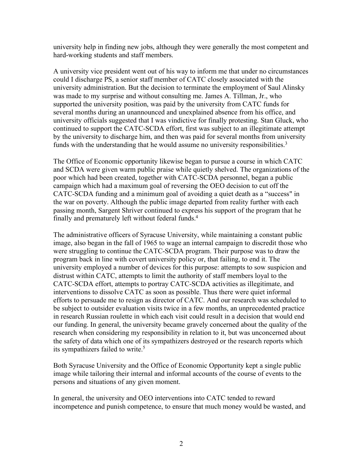university help in finding new jobs, although they were generally the most competent and hard-working students and staff members.

A university vice president went out of his way to inform me that under no circumstances could I discharge PS, a senior staff member of CATC closely associated with the university administration. But the decision to terminate the employment of Saul Alinsky was made to my surprise and without consulting me. James A. Tillman, Jr., who supported the university position, was paid by the university from CATC funds for several months during an unannounced and unexplained absence from his office, and university officials suggested that I was vindictive for finally protesting. Stan Gluck, who continued to support the CATC-SCDA effort, first was subject to an illegitimate attempt by the university to discharge him, and then was paid for several months from university funds with the understanding that he would assume no university responsibilities.<sup>3</sup>

The Office of Economic opportunity likewise began to pursue a course in which CATC and SCDA were given warm public praise while quietly shelved. The organizations of the poor which had been created, together with CATC-SCDA personnel, began a public campaign which had a maximum goal of reversing the OEO decision to cut off the CATC-SCDA funding and a minimum goal of avoiding a quiet death as a "success" in the war on poverty. Although the public image departed from reality further with each passing month, Sargent Shriver continued to express his support of the program that he finally and prematurely left without federal funds.4

The administrative officers of Syracuse University, while maintaining a constant public image, also began in the fall of 1965 to wage an internal campaign to discredit those who were struggling to continue the CATC-SCDA program. Their purpose was to draw the program back in line with covert university policy or, that failing, to end it. The university employed a number of devices for this purpose: attempts to sow suspicion and distrust within CATC, attempts to limit the authority of staff members loyal to the CATC-SCDA effort, attempts to portray CATC-SCDA activities as illegitimate, and interventions to dissolve CATC as soon as possible. Thus there were quiet informal efforts to persuade me to resign as director of CATC. And our research was scheduled to be subject to outsider evaluation visits twice in a few months, an unprecedented practice in research Russian roulette in which each visit could result in a decision that would end our funding. In general, the university became gravely concerned about the quality of the research when considering my responsibility in relation to it, but was unconcerned about the safety of data which one of its sympathizers destroyed or the research reports which its sympathizers failed to write.<sup>5</sup>

Both Syracuse University and the Office of Economic Opportunity kept a single public image while tailoring their internal and informal accounts of the course of events to the persons and situations of any given moment.

In general, the university and OEO interventions into CATC tended to reward incompetence and punish competence, to ensure that much money would be wasted, and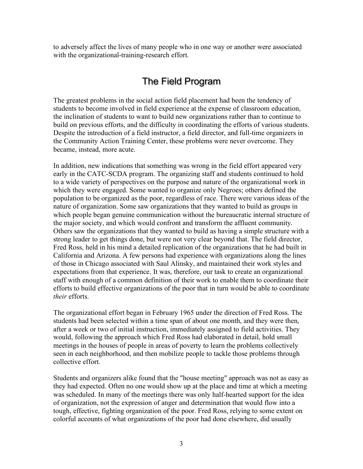to adversely affect the lives of many people who in one way or another were associated with the organizational-training-research effort.

## The Field Program

The greatest problems in the social action field placement had been the tendency of students to become involved in field experience at the expense of classroom education, the inclination of students to want to build new organizations rather than to continue to build on previous efforts, and the difficulty in coordinating the efforts of various students. Despite the introduction of a field instructor, a field director, and full-time organizers in the Community Action Training Center, these problems were never overcome. They became, instead, more acute.

In addition, new indications that something was wrong in the field effort appeared very early in the CATC-SCDA program. The organizing staff and students continued to hold to a wide variety of perspectives on the purpose and nature of the organizational work in which they were engaged. Some wanted to organize only Negroes; others defined the population to be organized as the poor, regardless of race. There were various ideas of the nature of organization. Some saw organizations that they wanted to build as groups in which people began genuine communication without the bureaucratic internal structure of the major society, and which would confront and transform the affluent community. Others saw the organizations that they wanted to build as having a simple structure with a strong leader to get things done, but were not very clear beyond that. The field director, Fred Ross, held in his mind a detailed replication of the organizations that he had built in California and Arizona. A few persons had experience with organizations along the lines of those in Chicago associated with Saul Alinsky, and maintained their work styles and expectations from that experience. It was, therefore, our task to create an organizational staff with enough of a common definition of their work to enable them to coordinate their efforts to build effective organizations of the poor that in turn would be able to coordinate *their* efforts.

The organizational effort began in February 1965 under the direction of Fred Ross. The students had been selected within a time span of about one month, and they were then, after a week or two of initial instruction, immediately assigned to field activities. They would, following the approach which Fred Ross had elaborated in detail, hold small meetings in the houses of people in areas of poverty to learn the problems collectively seen in each neighborhood, and then mobilize people to tackle those problems through collective effort.

Students and organizers alike found that the "house meeting" approach was not as easy as they had expected. Often no one would show up at the place and time at which a meeting was scheduled. In many of the meetings there was only half-hearted support for the idea of organization, not the expression of anger and determination that would flow into a tough, effective, fighting organization of the poor. Fred Ross, relying to some extent on colorful accounts of what organizations of the poor had done elsewhere, did usually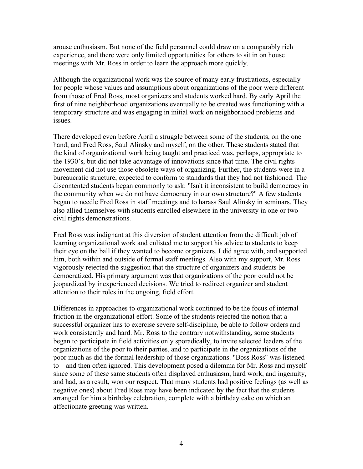arouse enthusiasm. But none of the field personnel could draw on a comparably rich experience, and there were only limited opportunities for others to sit in on house meetings with Mr. Ross in order to learn the approach more quickly.

Although the organizational work was the source of many early frustrations, especially for people whose values and assumptions about organizations of the poor were different from those of Fred Ross, most organizers and students worked hard. By early April the first of nine neighborhood organizations eventually to be created was functioning with a temporary structure and was engaging in initial work on neighborhood problems and issues.

There developed even before April a struggle between some of the students, on the one hand, and Fred Ross, Saul Alinsky and myself, on the other. These students stated that the kind of organizational work being taught and practiced was, perhaps, appropriate to the 1930's, but did not take advantage of innovations since that time. The civil rights movement did not use those obsolete ways of organizing. Further, the students were in a bureaucratic structure, expected to conform to standards that they had not fashioned. The discontented students began commonly to ask: "Isn't it inconsistent to build democracy in the community when we do not have democracy in our own structure?" A few students began to needle Fred Ross in staff meetings and to harass Saul Alinsky in seminars. They also allied themselves with students enrolled elsewhere in the university in one or two civil rights demonstrations.

Fred Ross was indignant at this diversion of student attention from the difficult job of learning organizational work and enlisted me to support his advice to students to keep their eye on the ball if they wanted to become organizers. I did agree with, and supported him, both within and outside of formal staff meetings. Also with my support, Mr. Ross vigorously rejected the suggestion that the structure of organizers and students be democratized. His primary argument was that organizations of the poor could not be jeopardized by inexperienced decisions. We tried to redirect organizer and student attention to their roles in the ongoing, field effort.

Differences in approaches to organizational work continued to be the focus of internal friction in the organizational effort. Some of the students rejected the notion that a successful organizer has to exercise severe self-discipline, be able to follow orders and work consistently and hard. Mr. Ross to the contrary notwithstanding, some students began to participate in field activities only sporadically, to invite selected leaders of the organizations of the poor to their parties, and to participate in the organizations of the poor much as did the formal leadership of those organizations. "Boss Ross" was listened to—and then often ignored. This development posed a dilemma for Mr. Ross and myself since some of these same students often displayed enthusiasm, hard work, and ingenuity, and had, as a result, won our respect. That many students had positive feelings (as well as negative ones) about Fred Ross may have been indicated by the fact that the students arranged for him a birthday celebration, complete with a birthday cake on which an affectionate greeting was written.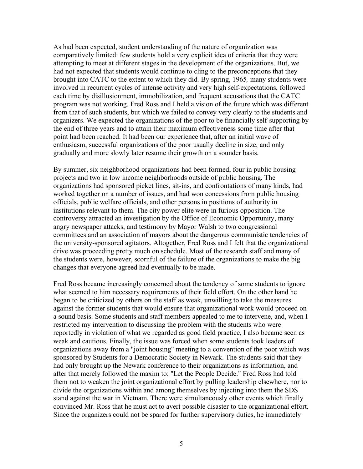As had been expected, student understanding of the nature of organization was comparatively limited: few students hold a very explicit idea of criteria that they were attempting to meet at different stages in the development of the organizations. But, we had not expected that students would continue to cling to the preconceptions that they brought into CATC to the extent to which they did. By spring, 1965*,* many students were involved in recurrent cycles of intense activity and very high self-expectations, followed each time by disillusionment, immobilization, and frequent accusations that the CATC program was not working. Fred Ross and I held a vision of the future which was different from that of such students, but which we failed to convey very clearly to the students and organizers. We expected the organizations of the poor to be financially self-supporting by the end of three years and to attain their maximum effectiveness some time after that point had been reached. It had been our experience that, after an initial wave of enthusiasm, successful organizations of the poor usually decline in size, and only gradually and more slowly later resume their growth on a sounder basis.

By summer, six neighborhood organizations had been formed, four in public housing projects and two in low income neighborhoods outside of public housing. The organizations had sponsored picket lines, sit-ins, and confrontations of many kinds, had worked together on a number of issues, and had won concessions from public housing officials, public welfare officials, and other persons in positions of authority in institutions relevant to them. The city power elite were in furious opposition. The controversy attracted an investigation by the Office of Economic Opportunity, many angry newspaper attacks, and testimony by Mayor Walsh to two congressional committees and an association of mayors about the dangerous communistic tendencies of the university-sponsored agitators. Altogether, Fred Ross and I felt that the organizational drive was proceeding pretty much on schedule. Most of the research staff and many of the students were, however, scornful of the failure of the organizations to make the big changes that everyone agreed had eventually to be made.

Fred Ross became increasingly concerned about the tendency of some students to ignore what seemed to him necessary requirements of their field effort. On the other hand he began to be criticized by others on the staff as weak, unwilling to take the measures against the former students that would ensure that organizational work would proceed on a sound basis. Some students and staff members appealed to me to intervene, and, when I restricted my intervention to discussing the problem with the students who were reportedly in violation of what we regarded as good field practice, I also became seen as weak and cautious. Finally, the issue was forced when some students took leaders of organizations away from a "joint housing" meeting to a convention of the poor which was sponsored by Students for a Democratic Society in Newark. The students said that they had only brought up the Newark conference to their organizations as information, and after that merely followed the maxim to: "Let the People Decide." Fred Ross had told them not to weaken the joint organizational effort by pulling leadership elsewhere, nor to divide the organizations within and among themselves by injecting into them the SDS stand against the war in Vietnam. There were simultaneously other events which finally convinced Mr. Ross that he must act to avert possible disaster to the organizational effort. Since the organizers could not be spared for further supervisory duties, he immediately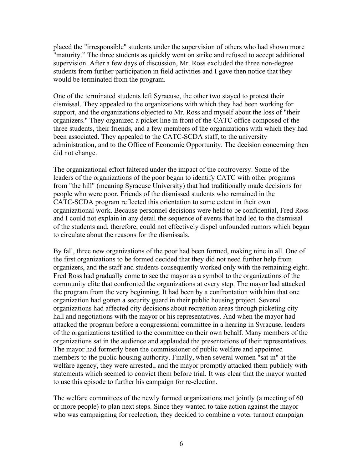placed the "irresponsible" students under the supervision of others who had shown more "maturity." The three students as quickly went on strike and refused to accept additional supervision. After a few days of discussion, Mr. Ross excluded the three non-degree students from further participation in field activities and I gave then notice that they would be terminated from the program.

One of the terminated students left Syracuse, the other two stayed to protest their dismissal. They appealed to the organizations with which they had been working for support, and the organizations objected to Mr. Ross and myself about the loss of "their organizers." They organized a picket line in front of the CATC office composed of the three students, their friends, and a few members of the organizations with which they had been associated. They appealed to the CATC-SCDA staff, to the university administration, and to the Office of Economic Opportunity. The decision concerning then did not change.

The organizational effort faltered under the impact of the controversy. Some of the leaders of the organizations of the poor began to identify CATC with other programs from "the hill" (meaning Syracuse University) that had traditionally made decisions for people who were poor. Friends of the dismissed students who remained in the CATC-SCDA program reflected this orientation to some extent in their own organizational work. Because personnel decisions were held to be confidential, Fred Ross and I could not explain in any detail the sequence of events that had led to the dismissal of the students and, therefore, could not effectively dispel unfounded rumors which began to circulate about the reasons for the dismissals.

By fall, three new organizations of the poor had been formed, making nine in all. One of the first organizations to be formed decided that they did not need further help from organizers, and the staff and students consequently worked only with the remaining eight. Fred Ross had gradually come to see the mayor as a symbol to the organizations of the community elite that confronted the organizations at every step. The mayor had attacked the program from the very beginning. It had been by a confrontation with him that one organization had gotten a security guard in their public housing project. Several organizations had affected city decisions about recreation areas through picketing city hall and negotiations with the mayor or his representatives. And when the mayor had attacked the program before a congressional committee in a hearing in Syracuse, leaders of the organizations testified to the committee on their own behalf. Many members of the organizations sat in the audience and applauded the presentations of their representatives. The mayor had formerly been the commissioner of public welfare and appointed members to the public housing authority. Finally, when several women "sat in" at the welfare agency, they were arrested., and the mayor promptly attacked them publicly with statements which seemed to convict them before trial. It was clear that the mayor wanted to use this episode to further his campaign for re-election.

The welfare committees of the newly formed organizations met jointly (a meeting of 60 or more people) to plan next steps. Since they wanted to take action against the mayor who was campaigning for reelection, they decided to combine a voter turnout campaign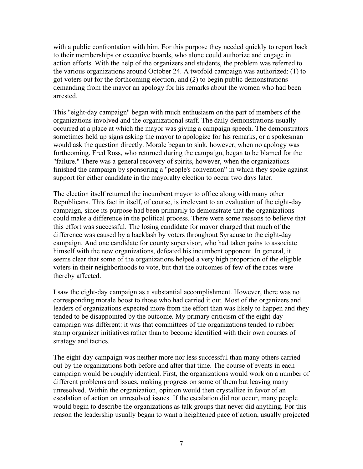with a public confrontation with him. For this purpose they needed quickly to report back to their memberships or executive boards, who alone could authorize and engage in action efforts. With the help of the organizers and students, the problem was referred to the various organizations around October 24. A twofold campaign was authorized: (1) to got voters out for the forthcoming election, and (2) to begin public demonstrations demanding from the mayor an apology for his remarks about the women who had been arrested.

This "eight-day campaign" began with much enthusiasm on the part of members of the organizations involved and the organizational staff. The daily demonstrations usually occurred at a place at which the mayor was giving a campaign speech. The demonstrators sometimes held up signs asking the mayor to apologize for his remarks, or a spokesman would ask the question directly. Morale began to sink, however, when no apology was forthcoming. Fred Ross, who returned during the campaign, began to be blamed for the "failure." There was a general recovery of spirits, however, when the organizations finished the campaign by sponsoring a "people's convention" in which they spoke against support for either candidate in the mayoralty election to occur two days later.

The election itself returned the incumbent mayor to office along with many other Republicans. This fact in itself, of course, is irrelevant to an evaluation of the eight-day campaign, since its purpose had been primarily to demonstrate that the organizations could make a difference in the political process. There were some reasons to believe that this effort was successful. The losing candidate for mayor charged that much of the difference was caused by a backlash by voters throughout Syracuse to the eight-day campaign. And one candidate for county supervisor, who had taken pains to associate himself with the new organizations, defeated his incumbent opponent. In general, it seems clear that some of the organizations helped a very high proportion of the eligible voters in their neighborhoods to vote, but that the outcomes of few of the races were thereby affected.

I saw the eight-day campaign as a substantial accomplishment. However, there was no corresponding morale boost to those who had carried it out. Most of the organizers and leaders of organizations expected more from the effort than was likely to happen and they tended to be disappointed by the outcome. My primary criticism of the eight-day campaign was different: it was that committees of the organizations tended to rubber stamp organizer initiatives rather than to become identified with their own courses of strategy and tactics.

The eight-day campaign was neither more nor less successful than many others carried out by the organizations both before and after that time. The course of events in each campaign would be roughly identical. First, the organizations would work on a number of different problems and issues, making progress on some of them but leaving many unresolved. Within the organization, opinion would then crystallize in favor of an escalation of action on unresolved issues. If the escalation did not occur, many people would begin to describe the organizations as talk groups that never did anything. For this reason the leadership usually began to want a heightened pace of action, usually projected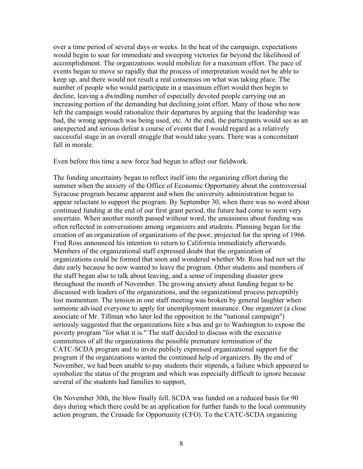over a time period of several days or weeks. In the heat of the campaign, expectations would begin to soar for immediate and sweeping victories far beyond the likelihood of accomplishment. The organizations would mobilize for a maximum effort. The pace of events began to move so rapidly that the process of interpretation would not be able to keep up, and there would not result a real consensus on what was taking place. The number of people who would participate in a maximum effort would then begin to decline, leaving a dwindling number of especially devoted people carrying out an increasing portion of the demanding but declining joint effort. Many of those who now left the campaign would rationalize their departures by arguing that the leadership was bad, the wrong approach was being used, etc. At the end, the participants would see as an unexpected and serious defeat a course of events that I would regard as a relatively successful stage in an overall struggle that would take years. There was a concomitant fall in morale.

Even before this time a new force had begun to affect our fieldwork.

The funding uncertainty began to reflect itself into the organizing effort during the summer when the anxiety of the Office of Economic Opportunity about the controversial Syracuse program became apparent and when the university administration began to appear reluctant to support the program. By September 30, when there was no word about continued funding at the end of our first grant period, the future had come to seem very uncertain. When another month passed without word, the uneasiness about funding was often reflected in conversations among organizers and students. Planning began for the creation of an organization of organizations of the poor, projected for the spring of 1966. Fred Ross announced his intention to return to California immediately afterwards. Members of the organizational staff expressed doubt that the organization of organizations could be formed that soon and wondered whether Mr. Ross had not set the date early because he now wanted to leave the program. Other students and members of the staff began also to talk about leaving, and a sense of impending disaster grew throughout the month of November. The growing anxiety about funding began to be discussed with leaders of the organizations, and the organizational process perceptibly lost momentum. The tension in one staff meeting was broken by general laughter when someone advised everyone to apply for unemployment insurance. One organizer (a close associate of Mr. Tillman who later led the opposition to the "national campaign") seriously suggested that the organizations hire a bus and go to Washington to expose the poverty program "for what it is." The staff decided to discuss with the executive committees of all the organizations the possible premature termination of the CATC-SCDA program and to invite publicly expressed organizational support for the program if the organizations wanted the continued help of organizers. By the end of November, we had been unable to pay students their stipends, a failure which appeared to symbolize the status of the program and which was especially difficult to ignore because several of the students had families to support,

On November 30th, the blow finally fell. SCDA was funded on a reduced basis for 90 days during which there could be an application for further funds to the local community action program, the Crusade for Opportunity (CFO). To the CATC-SCDA organizing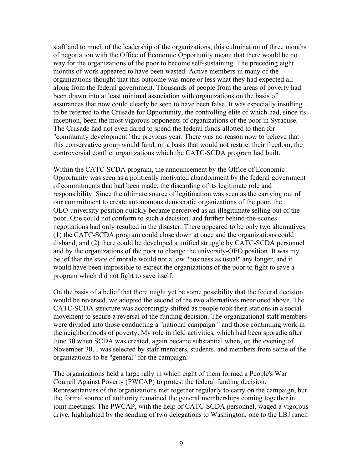staff and to much of the leadership of the organizations, this culmination of three months of negotiation with the Office of Economic Opportunity meant that there would be no way for the organizations of the poor to become self-sustaining. The preceding eight months of work appeared to have been wasted. Active members in many of the organizations thought that this outcome was more or less what they had expected all along from the federal government. Thousands of people from the areas of poverty had been drawn into at least minimal association with organizations on the basis of assurances that now could clearly be seen to have been false. It was especially insulting to be referred to the Crusade for Opportunity, the controlling elite of which had, since its inception, been the most vigorous opponents of organizations of the poor in Syracuse. The Crusade had not even dared to spend the federal funds allotted to then for "community development" the previous year. There was no reason now to believe that this conservative group would fund, on a basis that would not restrict their freedom, the controversial conflict organizations which the CATC-SCDA program had built.

Within the CATC-SCDA program, the announcement by the Office of Economic Opportunity was seen as a politically motivated abandonment by the federal government of commitments that had been made, the discarding of its legitimate role and responsibility. Since the ultimate source of legitimation was seen as the carrying out of our commitment to create autonomous democratic organizations of the poor, the OEO-university position quickly became perceived as an illegitimate selling out of the poor. One could not conform to such a decision, and further behind-the-scones negotiations had only resulted in the disaster. There appeared to be only two alternatives: (1) the CATC-SCDA program could close down at once and the organizations could disband, and (2) there could be developed a unified struggle by CATC-SCDA personnel and by the organizations of the poor to change the university-OEO position. It was my belief that the state of morale would not allow "business as usual" any longer, and it would have been impossible to expect the organizations of the poor to fight to save a program which did not fight to save itself.

On the basis of a belief that there might yet be some possibility that the federal decision would be reversed, we adopted the second of the two alternatives mentioned above. The CATC-SCDA structure was accordingly shifted as people took their stations in a social movement to secure a reversal of the funding decision. The organizational staff members were divided into those conducting a "national campaign " and those continuing work in the neighborhoods of poverty. My role in field activities, which had been sporadic after June 30 when SCDA was created, again became substantial when, on the evening of November 30, I was selected by staff members, students, and members from some of the organizations to be "general" for the campaign.

The organizations held a large rally in which eight of them formed a People's War Council Against Poverty (PWCAP) to protest the federal funding decision. Representatives of the organizations met together regularly to carry on the campaign, but the formal source of authority remained the general memberships coming together in joint meetings. The PWCAP, with the help of CATC-SCDA personnel, waged a vigorous drive, highlighted by the sending of two delegations to Washington, one to the LBJ ranch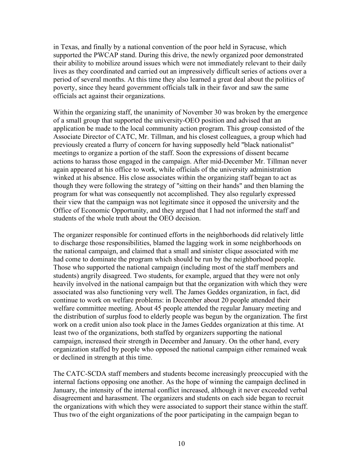in Texas, and finally by a national convention of the poor held in Syracuse, which supported the PWCAP stand. During this drive, the newly organized poor demonstrated their ability to mobilize around issues which were not immediately relevant to their daily lives as they coordinated and carried out an impressively difficult series of actions over a period of several months. At this time they also learned a great deal about the politics of poverty, since they heard government officials talk in their favor and saw the same officials act against their organizations.

Within the organizing staff, the unanimity of November 30 was broken by the emergence of a small group that supported the university-OEO position and advised that an application be made to the local community action program. This group consisted of the Associate Director of CATC, Mr. Tillman, and his closest colleagues, a group which had previously created a flurry of concern for having supposedly held "black nationalist" meetings to organize a portion of the staff. Soon the expressions of dissent became actions to harass those engaged in the campaign. After mid-December Mr. Tillman never again appeared at his office to work, while officials of the university administration winked at his absence. His close associates within the organizing staff began to act as though they were following the strategy of "sitting on their hands" and then blaming the program for what was consequently not accomplished. They also regularly expressed their view that the campaign was not legitimate since it opposed the university and the Office of Economic Opportunity, and they argued that I had not informed the staff and students of the whole truth about the OEO decision.

The organizer responsible for continued efforts in the neighborhoods did relatively little to discharge those responsibilities, blamed the lagging work in some neighborhoods on the national campaign, and claimed that a small and sinister clique associated with me had come to dominate the program which should be run by the neighborhood people. Those who supported the national campaign (including most of the staff members and students) angrily disagreed. Two students, for example, argued that they were not only heavily involved in the national campaign but that the organization with which they were associated was also functioning very well. The James Geddes organization, in fact, did continue to work on welfare problems: in December about 20 people attended their welfare committee meeting. About 45 people attended the regular January meeting and the distribution of surplus food to elderly people was begun by the organization. The first work on a credit union also took place in the James Geddes organization at this time. At least two of the organizations, both staffed by organizers supporting the national campaign, increased their strength in December and January. On the other hand, every organization staffed by people who opposed the national campaign either remained weak or declined in strength at this time.

The CATC-SCDA staff members and students become increasingly preoccupied with the internal factions opposing one another. As the hope of winning the campaign declined in January, the intensity of the internal conflict increased, although it never exceeded verbal disagreement and harassment. The organizers and students on each side began to recruit the organizations with which they were associated to support their stance within the staff. Thus two of the eight organizations of the poor participating in the campaign began to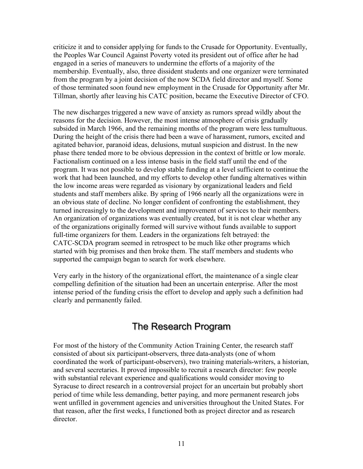criticize it and to consider applying for funds to the Crusade for Opportunity. Eventually, the Peoples War Council Against Poverty voted its president out of office after he had engaged in a series of maneuvers to undermine the efforts of a majority of the membership. Eventually, also, three dissident students and one organizer were terminated from the program by a joint decision of the now SCDA field director and myself. Some of those terminated soon found new employment in the Crusade for Opportunity after Mr. Tillman, shortly after leaving his CATC position, became the Executive Director of CFO.

The new discharges triggered a new wave of anxiety as rumors spread wildly about the reasons for the decision. However, the most intense atmosphere of crisis gradually subsided in March 1966, and the remaining months of the program were less tumultuous. During the height of the crisis there had been a wave of harassment, rumors, excited and agitated behavior, paranoid ideas, delusions, mutual suspicion and distrust. In the new phase there tended more to be obvious depression in the context of brittle or low morale. Factionalism continued on a less intense basis in the field staff until the end of the program. It was not possible to develop stable funding at a level sufficient to continue the work that had been launched, and my efforts to develop other funding alternatives within the low income areas were regarded as visionary by organizational leaders and field students and staff members alike. By spring of 1966 nearly all the organizations were in an obvious state of decline. No longer confident of confronting the establishment, they turned increasingly to the development and improvement of services to their members. An organization of organizations was eventually created, but it is not clear whether any of the organizations originally formed will survive without funds available to support full-time organizers for them. Leaders in the organizations felt betrayed: the CATC-SCDA program seemed in retrospect to be much like other programs which started with big promises and then broke them. The staff members and students who supported the campaign began to search for work elsewhere.

Very early in the history of the organizational effort, the maintenance of a single clear compelling definition of the situation had been an uncertain enterprise. After the most intense period of the funding crisis the effort to develop and apply such a definition had clearly and permanently failed.

## The Research Program

For most of the history of the Community Action Training Center, the research staff consisted of about six participant-observers, three data-analysts (one of whom coordinated the work of participant-observers), two training materials-writers, a historian, and several secretaries. It proved impossible to recruit a research director: few people with substantial relevant experience and qualifications would consider moving to Syracuse to direct research in a controversial project for an uncertain but probably short period of time while less demanding, better paying, and more permanent research jobs went unfilled in government agencies and universities throughout the United States. For that reason, after the first weeks, I functioned both as project director and as research director.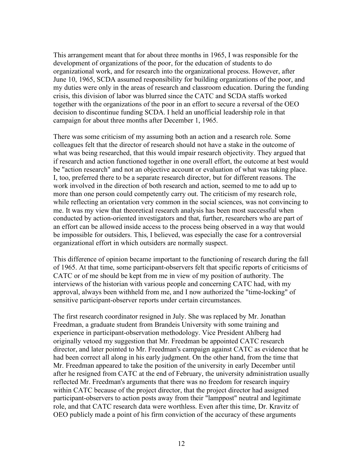This arrangement meant that for about three months in 1965, I was responsible for the development of organizations of the poor, for the education of students to do organizational work, and for research into the organizational process. However, after June 10, 1965, SCDA assumed responsibility for building organizations of the poor, and my duties were only in the areas of research and classroom education. During the funding crisis, this division of labor was blurred since the CATC and SCDA staffs worked together with the organizations of the poor in an effort to secure a reversal of the OEO decision to discontinue funding SCDA. I held an unofficial leadership role in that campaign for about three months after December 1, 1965.

There was some criticism of my assuming both an action and a research role. Some colleagues felt that the director of research should not have a stake in the outcome of what was being researched, that this would impair research objectivity. They argued that if research and action functioned together in one overall effort, the outcome at best would be "action research" and not an objective account or evaluation of what was taking place. I, too, preferred there to be a separate research director, but for different reasons. The work involved in the direction of both research and action, seemed to me to add up to more than one person could competently carry out. The criticism of my research role, while reflecting an orientation very common in the social sciences, was not convincing to me. It was my view that theoretical research analysis has been most successful when conducted by action-oriented investigators and that, further, researchers who are part of an effort can be allowed inside access to the process being observed in a way that would be impossible for outsiders. This, I believed, was especially the case for a controversial organizational effort in which outsiders are normally suspect.

This difference of opinion became important to the functioning of research during the fall of 1965. At that time, some participant-observers felt that specific reports of criticisms of CATC or of me should be kept from me in view of my position of authority. The interviews of the historian with various people and concerning CATC had, with my approval, always been withheld from me, and I now authorized the "time-locking" of sensitive participant-observer reports under certain circumstances.

The first research coordinator resigned in July. She was replaced by Mr. Jonathan Freedman, a graduate student from Brandeis University with some training and experience in participant-observation methodology. Vice President Ahlberg had originally vetoed my suggestion that Mr. Freedman be appointed CATC research director, and later pointed to Mr. Freedman's campaign against CATC as evidence that he had been correct all along in his early judgment. On the other hand, from the time that Mr. Freedman appeared to take the position of the university in early December until after he resigned from CATC at the end of February, the university administration usually reflected Mr. Freedman's arguments that there was no freedom for research inquiry within CATC because of the project director, that the project director had assigned participant-observers to action posts away from their "lamppost" neutral and legitimate role, and that CATC research data were worthless. Even after this time, Dr. Kravitz of OEO publicly made a point of his firm conviction of the accuracy of these arguments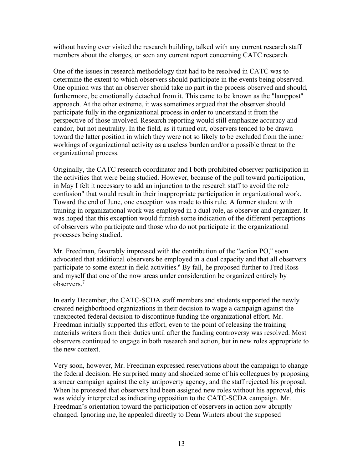without having ever visited the research building, talked with any current research staff members about the charges, or seen any current report concerning CATC research.

One of the issues in research methodology that had to be resolved in CATC was to determine the extent to which observers should participate in the events being observed. One opinion was that an observer should take no part in the process observed and should, furthermore, be emotionally detached from it. This came to be known as the "lamppost" approach. At the other extreme, it was sometimes argued that the observer should participate fully in the organizational process in order to understand it from the perspective of those involved. Research reporting would still emphasize accuracy and candor, but not neutrality. In the field, as it turned out, observers tended to be drawn toward the latter position in which they were not so likely to be excluded from the inner workings of organizational activity as a useless burden and/or a possible threat to the organizational process.

Originally, the CATC research coordinator and I both prohibited observer participation in the activities that were being studied. However, because of the pull toward participation, in May I felt it necessary to add an injunction to the research staff to avoid the role confusion" that would result in their inappropriate participation in organizational work. Toward the end of June, one exception was made to this rule. A former student with training in organizational work was employed in a dual role, as observer and organizer. It was hoped that this exception would furnish some indication of the different perceptions of observers who participate and those who do not participate in the organizational processes being studied.

Mr. Freedman, favorably impressed with the contribution of the "action PO," soon advocated that additional observers be employed in a dual capacity and that all observers participate to some extent in field activities.<sup>6</sup> By fall, he proposed further to Fred Ross and myself that one of the now areas under consideration be organized entirely by observers.7

In early December, the CATC-SCDA staff members and students supported the newly created neighborhood organizations in their decision to wage a campaign against the unexpected federal decision to discontinue funding the organizational effort. Mr. Freedman initially supported this effort, even to the point of releasing the training materials writers from their duties until after the funding controversy was resolved. Most observers continued to engage in both research and action, but in new roles appropriate to the new context.

Very soon, however, Mr. Freedman expressed reservations about the campaign to change the federal decision. He surprised many and shocked some of his colleagues by proposing a smear campaign against the city antipoverty agency, and the staff rejected his proposal. When he protested that observers had been assigned new roles without his approval, this was widely interpreted as indicating opposition to the CATC-SCDA campaign. Mr. Freedman's orientation toward the participation of observers in action now abruptly changed. Ignoring me, he appealed directly to Dean Winters about the supposed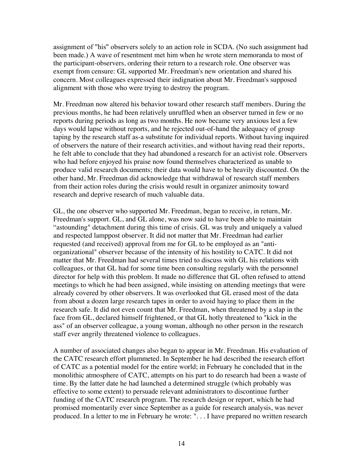assignment of "his" observers solely to an action role in SCDA. (No such assignment had been made.) A wave of resentment met him when he wrote stern memoranda to most of the participant-observers, ordering their return to a research role. One observer was exempt from censure: GL supported Mr. Freedman's new orientation and shared his concern. Most colleagues expressed their indignation about Mr. Freedman's supposed alignment with those who were trying to destroy the program.

Mr. Freedman now altered his behavior toward other research staff members. During the previous months, he had been relatively unruffled when an observer turned in few or no reports during periods as long as two months. He now became very anxious lest a few days would lapse without reports, and he rejected out-of-hand the adequacy of group taping by the research staff as-a substitute for individual reports. Without having inquired of observers the nature of their research activities, and without having read their reports, he felt able to conclude that they had abandoned a research for an activist role. Observers who had before enjoyed his praise now found themselves characterized as unable to produce valid research documents; their data would have to be heavily discounted. On the other hand, Mr. Freedman did acknowledge that withdrawal of research staff members from their action roles during the crisis would result in organizer animosity toward research and deprive research of much valuable data.

GL, the one observer who supported Mr. Freedman, began to receive, in return, Mr. Freedman's support. GL, and GL alone, was now said to have been able to maintain "astounding" detachment during this time of crisis. GL was truly and uniquely a valued and respected lamppost observer. It did not matter that Mr. Freedman had earlier requested (and received) approval from me for GL to be employed as an "antiorganizational" observer because of the intensity of his hostility to CATC. It did not matter that Mr. Freedman had several times tried to discuss with GL his relations with colleagues, or that GL had for some time been consulting regularly with the personnel director for help with this problem. It made no difference that GL often refused to attend meetings to which he had been assigned, while insisting on attending meetings that were already covered by other observers. It was overlooked that GL erased most of the data from about a dozen large research tapes in order to avoid haying to place them in the research safe. It did not even count that Mr. Freedman, when threatened by a slap in the face from GL, declared himself frightened, or that GL hotly threatened to "kick in the ass" of an observer colleague, a young woman, although no other person in the research staff ever angrily threatened violence to colleagues.

A number of associated changes also began to appear in Mr. Freedman. His evaluation of the CATC research effort plummeted. In September he had described the research effort of CATC as a potential model for the entire world; in February he concluded that in the monolithic atmosphere of CATC, attempts on his part to do research had been a waste of time. By the latter date he had launched a determined struggle (which probably was effective to some extent) to persuade relevant administrators to discontinue further funding of the CATC research program. The research design or report, which he had promised momentarily ever since September as a guide for research analysis, was never produced. In a letter to me in February he wrote: ". . . I have prepared no written research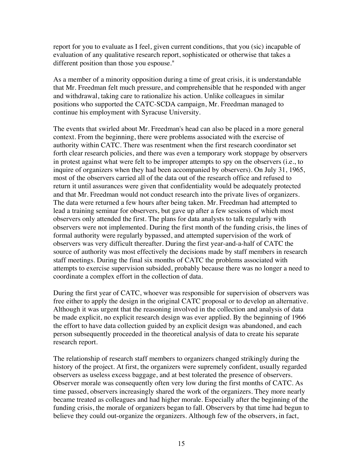report for you to evaluate as I feel, given current conditions, that you (sic) incapable of evaluation of any qualitative research report, sophisticated or otherwise that takes a different position than those you espouse."

As a member of a minority opposition during a time of great crisis, it is understandable that Mr. Freedman felt much pressure, and comprehensible that he responded with anger and withdrawal, taking care to rationalize his action. Unlike colleagues in similar positions who supported the CATC-SCDA campaign, Mr. Freedman managed to continue his employment with Syracuse University.

The events that swirled about Mr. Freedman's head can also be placed in a more general context. From the beginning, there were problems associated with the exercise of authority within CATC. There was resentment when the first research coordinator set forth clear research policies, and there was even a temporary work stoppage by observers in protest against what were felt to be improper attempts to spy on the observers (i.e., to inquire of organizers when they had been accompanied by observers). On July 31, 1965, most of the observers carried all of the data out of the research office and refused to return it until assurances were given that confidentiality would be adequately protected and that Mr. Freedman would not conduct research into the private lives of organizers. The data were returned a few hours after being taken. Mr. Freedman had attempted to lead a training seminar for observers, but gave up after a few sessions of which most observers only attended the first. The plans for data analysts to talk regularly with observers were not implemented. During the first month of the funding crisis, the lines of formal authority were regularly bypassed, and attempted supervision of the work of observers was very difficult thereafter. During the first year-and-a-half of CATC the source of authority was most effectively the decisions made by staff members in research staff meetings. During the final six months of CATC the problems associated with attempts to exercise supervision subsided, probably because there was no longer a need to coordinate a complex effort in the collection of data.

During the first year of CATC, whoever was responsible for supervision of observers was free either to apply the design in the original CATC proposal or to develop an alternative. Although it was urgent that the reasoning involved in the collection and analysis of data be made explicit, no explicit research design was ever applied. By the beginning of 1966 the effort to have data collection guided by an explicit design was abandoned, and each person subsequently proceeded in the theoretical analysis of data to create his separate research report.

The relationship of research staff members to organizers changed strikingly during the history of the project. At first, the organizers were supremely confident, usually regarded observers as useless excess baggage, and at best tolerated the presence of observers. Observer morale was consequently often very low during the first months of CATC. As time passed, observers increasingly shared the work of the organizers. They more nearly became treated as colleagues and had higher morale. Especially after the beginning of the funding crisis, the morale of organizers began to fall. Observers by that time had begun to believe they could out-organize the organizers. Although few of the observers, in fact,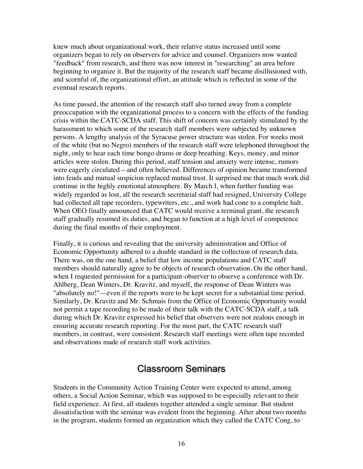knew much about organizational work, their relative status increased until some organizers began to rely on observers for advice and counsel. Organizers now wanted "feedback" from research, and there was now interest in "researching" an area before beginning to organize it. But the majority of the research staff became disillusioned with, and scornful of, the organizational effort, an attitude which is reflected in some of the eventual research reports.

As time passed, the attention of the research staff also turned away from a complete preoccupation with the organizational process to a concern with the effects of the funding crisis within the CATC-SCDA staff. This shift of concern was certainly stimulated by the harassment to which some of the research staff members were subjected by unknown persons. A lengthy analysis of the Syracuse power structure was stolen. For weeks most of the white (but no Negro) members of the research staff were telephoned throughout the night, only to hear each time bongo drums or deep breathing. Keys, money, and minor articles were stolen. During this period, staff tension and anxiety were intense, rumors were eagerly circulated—and often believed. Differences of opinion became transformed into feuds and mutual suspicion replaced mutual trust. It surprised me that much work did continue in the highly emotional atmosphere. By March l, when further funding was widely regarded as lost, all the research secretarial staff had resigned, University College had collected all tape recorders, typewriters, etc., and work had cone to a complete halt. When OEO finally announced that CATC would receive a terminal grant, the research staff gradually resumed its duties, and began to function at a high level of competence during the final months of their employment.

Finally, it is curious and revealing that the university administration and Office of Economic Opportunity adhered to a double standard in the collection of research data. There was, on the one hand, a belief that low income populations and CATC staff members should naturally agree to be objects of research observation. On the other hand, when I requested permission for a participant-observer to observe a conference with Dr. Ahlberg, Dean Winters, Dr. Kravitz, and myself, the response of Dean Winters was "absolutely no!"—even if the reports were to be kept secret for a substantial time period. Similarly, Dr. Kravitz and Mr. Schmais from the Office of Economic Opportunity would not permit a tape recording to be made of their talk with the CATC-SCDA staff, a talk during which Dr. Kravitz expressed his belief that observers were not zealous enough in ensuring accurate research reporting. For the most part, the CATC research staff members, in contrast, were consistent. Research staff meetings were often tape recorded and observations made of research staff work activities.

## Classroom Seminars

Students in the Community Action Training Center were expected to attend, among others, a Social Action Seminar, which was supposed to be especially relevant to their field experience. At first, all students together attended a single seminar. But student dissatisfaction with the seminar was evident from the beginning. After about two months in the program, students formed an organization which they called the CATC Cong, to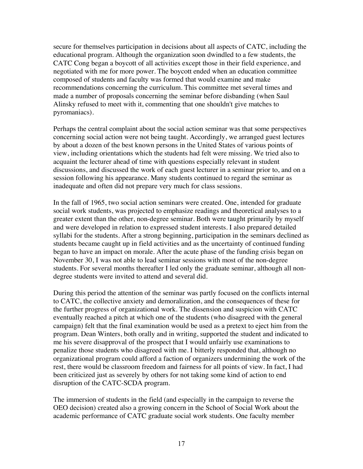secure for themselves participation in decisions about all aspects of CATC, including the educational program. Although the organization soon dwindled to a few students, the CATC Cong began a boycott of all activities except those in their field experience, and negotiated with me for more power. The boycott ended when an education committee composed of students and faculty was formed that would examine and make recommendations concerning the curriculum. This committee met several times and made a number of proposals concerning the seminar before disbanding (when Saul Alinsky refused to meet with it, commenting that one shouldn't give matches to pyromaniacs).

Perhaps the central complaint about the social action seminar was that some perspectives concerning social action were not being taught. Accordingly, we arranged guest lectures by about a dozen of the best known persons in the United States of various points of view, including orientations which the students had felt were missing. We tried also to acquaint the lecturer ahead of time with questions especially relevant in student discussions, and discussed the work of each guest lecturer in a seminar prior to, and on a session following his appearance. Many students continued to regard the seminar as inadequate and often did not prepare very much for class sessions.

In the fall of 1965, two social action seminars were created. One, intended for graduate social work students, was projected to emphasize readings and theoretical analyses to a greater extent than the other, non-degree seminar. Both were taught primarily by myself and were developed in relation to expressed student interests. I also prepared detailed syllabi for the students. After a strong beginning, participation in the seminars declined as students became caught up in field activities and as the uncertainty of continued funding began to have an impact on morale. After the acute phase of the funding crisis began on November 30, I was not able to lead seminar sessions with most of the non-degree students. For several months thereafter I led only the graduate seminar, although all nondegree students were invited to attend and several did.

During this period the attention of the seminar was partly focused on the conflicts internal to CATC, the collective anxiety and demoralization, and the consequences of these for the further progress of organizational work. The dissension and suspicion with CATC eventually reached a pitch at which one of the students (who disagreed with the general campaign) felt that the final examination would be used as a pretext to eject him from the program. Dean Winters, both orally and in writing, supported the student and indicated to me his severe disapproval of the prospect that I would unfairly use examinations to penalize those students who disagreed with me. I bitterly responded that, although no organizational program could afford a faction of organizers undermining the work of the rest, there would be classroom freedom and fairness for all points of view. In fact, I had been criticized just as severely by others for not taking some kind of action to end disruption of the CATC-SCDA program.

The immersion of students in the field (and especially in the campaign to reverse the OEO decision) created also a growing concern in the School of Social Work about the academic performance of CATC graduate social work students. One faculty member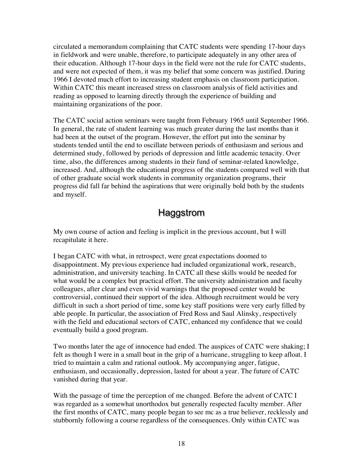circulated a memorandum complaining that CATC students were spending 17-hour days in fieldwork and were unable, therefore, to participate adequately in any other area of their education. Although 17-hour days in the field were not the rule for CATC students, and were not expected of them, it was my belief that some concern was justified. During 1966 I devoted much effort to increasing student emphasis on classroom participation. Within CATC this meant increased stress on classroom analysis of field activities and reading as opposed to learning directly through the experience of building and maintaining organizations of the poor.

The CATC social action seminars were taught from February 1965 until September 1966. In general, the rate of student learning was much greater during the last months than it had been at the outset of the program. However, the effort put into the seminar by students tended until the end to oscillate between periods of enthusiasm and serious and determined study, followed by periods of depression and little academic tenacity. Over time, also, the differences among students in their fund of seminar-related knowledge, increased. And, although the educational progress of the students compared well with that of other graduate social work students in community organization programs, their progress did fall far behind the aspirations that were originally bold both by the students and myself.

## Haggstrom

My own course of action and feeling is implicit in the previous account, but I will recapitulate it here.

I began CATC with what, in retrospect, were great expectations doomed to disappointment. My previous experience had included organizational work, research, administration, and university teaching. In CATC all these skills would be needed for what would be a complex but practical effort. The university administration and faculty colleagues, after clear and even vivid warnings that the proposed center would be controversial, continued their support of the idea. Although recruitment would be very difficult in such a short period of time, some key staff positions were very early filled by able people. In particular, the association of Fred Ross and Saul Alinsky, respectively with the field and educational sectors of CATC, enhanced my confidence that we could eventually build a good program.

Two months later the age of innocence had ended. The auspices of CATC were shaking; I felt as though I were in a small boat in the grip of a hurricane, struggling to keep afloat. I tried to maintain a calm and rational outlook. My accompanying anger, fatigue, enthusiasm, and occasionally, depression, lasted for about a year. The future of CATC vanished during that year.

With the passage of time the perception of me changed. Before the advent of CATC I was regarded as a somewhat unorthodox but generally respected faculty member. After the first months of CATC, many people began to see mc as a true believer, recklessly and stubbornly following a course regardless of the consequences. Only within CATC was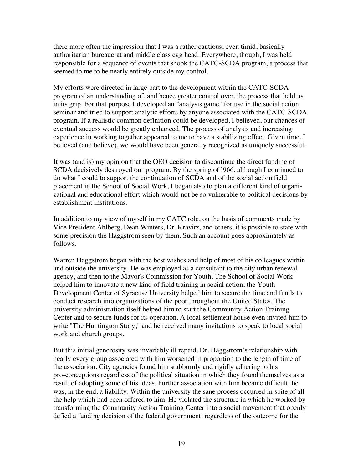there more often the impression that I was a rather cautious, even timid, basically authoritarian bureaucrat and middle class egg head. Everywhere, though, I was held responsible for a sequence of events that shook the CATC-SCDA program, a process that seemed to me to be nearly entirely outside my control.

My efforts were directed in large part to the development within the CATC-SCDA program of an understanding of, and hence greater control over, the process that held us in its grip. For that purpose I developed an "analysis game" for use in the social action seminar and tried to support analytic efforts by anyone associated with the CATC-SCDA program. If a realistic common definition could be developed, I believed, our chances of eventual success would be greatly enhanced. The process of analysis and increasing experience in working together appeared to me to have a stabilizing effect. Given time, I believed (and believe), we would have been generally recognized as uniquely successful.

It was (and is) my opinion that the OEO decision to discontinue the direct funding of SCDA decisively destroyed our program. By the spring of l966, although I continued to do what I could to support the continuation of SCDA and of the social action field placement in the School of Social Work, I began also to plan a different kind of organizational and educational effort which would not be so vulnerable to political decisions by establishment institutions.

In addition to my view of myself in my CATC role, on the basis of comments made by Vice President Ahlberg, Dean Winters, Dr. Kravitz, and others, it is possible to state with some precision the Haggstrom seen by them. Such an account goes approximately as follows.

Warren Haggstrom began with the best wishes and help of most of his colleagues within and outside the university. He was employed as a consultant to the city urban renewal agency, and then to the Mayor's Commission for Youth. The School of Social Work helped him to innovate a new kind of field training in social action; the Youth Development Center of Syracuse University helped him to secure the time and funds to conduct research into organizations of the poor throughout the United States. The university administration itself helped him to start the Community Action Training Center and to secure funds for its operation. A local settlement house even invited him to write "The Huntington Story," and he received many invitations to speak to local social work and church groups.

But this initial generosity was invariably ill repaid. Dr. Haggstrom's relationship with nearly every group associated with him worsened in proportion to the length of time of the association. City agencies found him stubbornly and rigidly adhering to his pro-conceptions regardless of the political situation in which they found themselves as a result of adopting some of his ideas. Further association with him became difficult; he was, in the end, a liability. Within the university the sane process occurred in spite of all the help which had been offered to him. He violated the structure in which he worked by transforming the Community Action Training Center into a social movement that openly defied a funding decision of the federal government, regardless of the outcome for the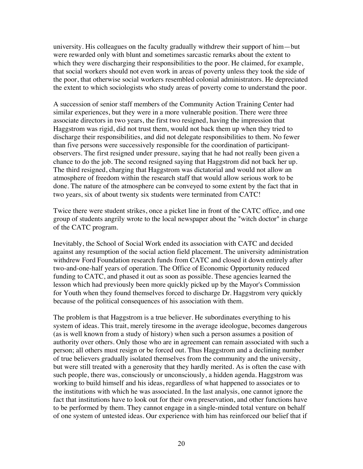university. His colleagues on the faculty gradually withdrew their support of him—but were rewarded only with blunt and sometimes sarcastic remarks about the extent to which they were discharging their responsibilities to the poor. He claimed, for example, that social workers should not even work in areas of poverty unless they took the side of the poor, that otherwise social workers resembled colonial administrators. He depreciated the extent to which sociologists who study areas of poverty come to understand the poor.

A succession of senior staff members of the Community Action Training Center had similar experiences, but they were in a more vulnerable position. There were three associate directors in two years, the first two resigned, having the impression that Haggstrom was rigid, did not trust them, would not back them up when they tried to discharge their responsibilities, and did not delegate responsibilities to them. No fewer than five persons were successively responsible for the coordination of participantobservers. The first resigned under pressure, saying that he had not really been given a chance to do the job. The second resigned saying that Haggstrom did not back her up. The third resigned, charging that Haggstrom was dictatorial and would not allow an atmosphere of freedom within the research staff that would allow serious work to be done. The nature of the atmosphere can be conveyed to some extent by the fact that in two years, six of about twenty six students were terminated from CATC!

Twice there were student strikes, once a picket line in front of the CATC office, and one group of students angrily wrote to the local newspaper about the "witch doctor" in charge of the CATC program.

Inevitably, the School of Social Work ended its association with CATC and decided against any resumption of the social action field placement. The university administration withdrew Ford Foundation research funds from CATC and closed it down entirely after two-and-one-half years of operation. The Office of Economic Opportunity reduced funding to CATC, and phased it out as soon as possible. These agencies learned the lesson which had previously been more quickly picked up by the Mayor's Commission for Youth when they found themselves forced to discharge Dr. Haggstrom very quickly because of the political consequences of his association with them.

The problem is that Haggstrom is a true believer. He subordinates everything to his system of ideas. This trait, merely tiresome in the average ideologue, becomes dangerous (as is well known from a study of history) when such a person assumes a position of authority over others. Only those who are in agreement can remain associated with such a person; all others must resign or be forced out. Thus Haggstrom and a declining number of true believers gradually isolated themselves from the community and the university, but were still treated with a generosity that they hardly merited. As is often the case with such people, there was, consciously or unconsciously, a hidden agenda. Haggstrom was working to build himself and his ideas, regardless of what happened to associates or to the institutions with which he was associated. In the last analysis, one cannot ignore the fact that institutions have to look out for their own preservation, and other functions have to be performed by them. They cannot engage in a single-minded total venture on behalf of one system of untested ideas. Our experience with him has reinforced our belief that if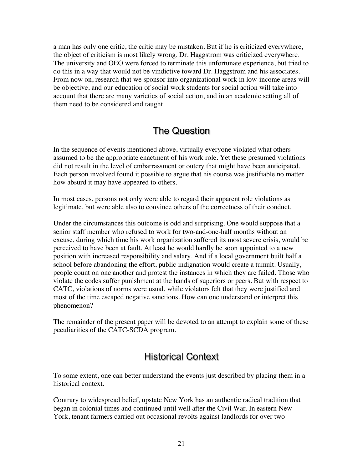a man has only one critic, the critic may be mistaken. But if he is criticized everywhere, the object of criticism is most likely wrong. Dr. Haggstrom was criticized everywhere. The university and OEO were forced to terminate this unfortunate experience, but tried to do this in a way that would not be vindictive toward Dr. Haggstrom and his associates. From now on, research that we sponsor into organizational work in low-income areas will be objective, and our education of social work students for social action will take into account that there are many varieties of social action, and in an academic setting all of them need to be considered and taught.

#### The Question

In the sequence of events mentioned above, virtually everyone violated what others assumed to be the appropriate enactment of his work role. Yet these presumed violations did not result in the level of embarrassment or outcry that might have been anticipated. Each person involved found it possible to argue that his course was justifiable no matter how absurd it may have appeared to others.

In most cases, persons not only were able to regard their apparent role violations as legitimate, but were able also to convince others of the correctness of their conduct.

Under the circumstances this outcome is odd and surprising. One would suppose that a senior staff member who refused to work for two-and-one-half months without an excuse, during which time his work organization suffered its most severe crisis, would be perceived to have been at fault. At least he would hardly be soon appointed to a new position with increased responsibility and salary. And if a local government built half a school before abandoning the effort, public indignation would create a tumult. Usually, people count on one another and protest the instances in which they are failed. Those who violate the codes suffer punishment at the hands of superiors or peers. But with respect to CATC, violations of norms were usual, while violators felt that they were justified and most of the time escaped negative sanctions. How can one understand or interpret this phenomenon?

The remainder of the present paper will be devoted to an attempt to explain some of these peculiarities of the CATC-SCDA program.

## Historical Context

To some extent, one can better understand the events just described by placing them in a historical context.

Contrary to widespread belief, upstate New York has an authentic radical tradition that began in colonial times and continued until well after the Civil War. In eastern New York, tenant farmers carried out occasional revolts against landlords for over two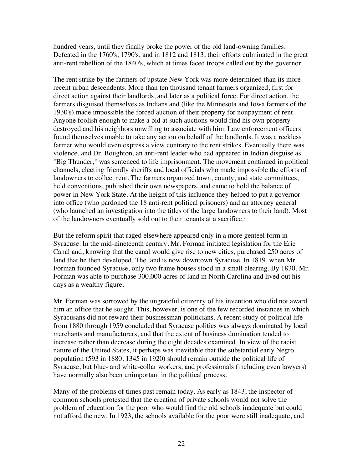hundred years, until they finally broke the power of the old land-owning families. Defeated in the 1760's, 1790's, and in 1812 and 1813, their efforts culminated in the great anti-rent rebellion of the 1840's, which at times faced troops called out by the governor.

The rent strike by the farmers of upstate New York was more determined than its more recent urban descendents. More than ten thousand tenant farmers organized, first for direct action against their landlords, and later as a political force. For direct action, the farmers disguised themselves as Indians and (like the Minnesota and Iowa farmers of the 1930's) made impossible the forced auction of their property for nonpayment of rent. Anyone foolish enough to make a bid at such auctions would find his own property destroyed and his neighbors unwilling to associate with him. Law enforcement officers found themselves unable to take any action on behalf of the landlords. It was a reckless farmer who would even express a view contrary to the rent strikes. Eventually there was violence, and Dr. Boughton, an anti-rent leader who had appeared in Indian disguise as "Big Thunder," was sentenced to life imprisonment. The movement continued in political channels, electing friendly sheriffs and local officials who made impossible the efforts of landowners to collect rent. The farmers organized town, county, and state committees, held conventions, published their own newspapers, and came to hold the balance of power in New York State. At the height of this influence they helped to put a governor into office (who pardoned the 18 anti-rent political prisoners) and an attorney general (who launched an investigation into the titles of the large landowners to their land). Most of the landowners eventually sold out to their tenants at a sacrifice.<sup>8</sup>

But the reform spirit that raged elsewhere appeared only in a more genteel form in Syracuse. In the mid-nineteenth century, Mr. Forman initiated legislation for the Erie Canal and, knowing that the canal would give rise to new cities, purchased 250 acres of land that he then developed. The land is now downtown Syracuse. In 1819, when Mr. Forman founded Syracuse, only two frame houses stood in a small clearing. By 1830, Mr. Forman was able to purchase 300,000 acres of land in North Carolina and lived out his days as a wealthy figure.

Mr. Forman was sorrowed by the ungrateful citizenry of his invention who did not award him an office that he sought. This, however, is one of the few recorded instances in which Syracusans did not reward their businessman-politicians. A recent study of political life from 1880 through 1959 concluded that Syracuse politics was always dominated by local merchants and manufacturers, and that the extent of business domination tended to increase rather than decrease during the eight decades examined. In view of the racist nature of the United States, it perhaps was inevitable that the substantial early Negro population (593 in 1880, 1345 in 1920) should remain outside the political life of Syracuse, but blue- and white-collar workers, and professionals (including even lawyers) have normally also been unimportant in the political process.

Many of the problems of times past remain today. As early as 1843, the inspector of common schools protested that the creation of private schools would not solve the problem of education for the poor who would find the old schools inadequate but could not afford the new. In 1923, the schools available for the poor were still inadequate, and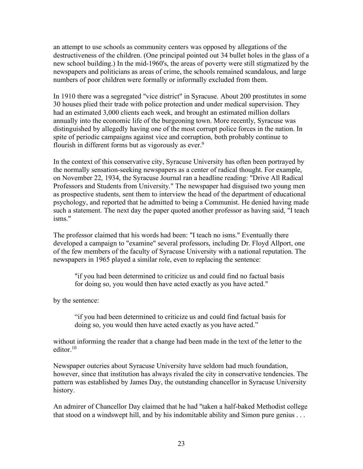an attempt to use schools as community centers was opposed by allegations of the destructiveness of the children. (One principal pointed out 34 bullet holes in the glass of a new school building.) In the mid-1960's, the areas of poverty were still stigmatized by the newspapers and politicians as areas of crime, the schools remained scandalous, and large numbers of poor children were formally or informally excluded from them.

In 1910 there was a segregated "vice district" in Syracuse. About 200 prostitutes in some 30 houses plied their trade with police protection and under medical supervision. They had an estimated 3,000 clients each week, and brought an estimated million dollars annually into the economic life of the burgeoning town. More recently, Syracuse was distinguished by allegedly having one of the most corrupt police forces in the nation. In spite of periodic campaigns against vice and corruption, both probably continue to flourish in different forms but as vigorously as ever.<sup>9</sup>

In the context of this conservative city, Syracuse University has often been portrayed by the normally sensation-seeking newspapers as a center of radical thought. For example, on November 22, 1934, the Syracuse Journal ran a headline reading: "Drive All Radical Professors and Students from University." The newspaper had disguised two young men as prospective students, sent them to interview the head of the department of educational psychology, and reported that he admitted to being a Communist. He denied having made such a statement. The next day the paper quoted another professor as having said, "I teach isms."

The professor claimed that his words had been: "I teach no isms." Eventually there developed a campaign to "examine" several professors, including Dr. Floyd Allport, one of the few members of the faculty of Syracuse University with a national reputation. The newspapers in 1965 played a similar role, even to replacing the sentence:

"if you had been determined to criticize us and could find no factual basis for doing so, you would then have acted exactly as you have acted."

by the sentence:

"if you had been determined to criticize us and could find factual basis for doing so, you would then have acted exactly as you have acted."

without informing the reader that a change had been made in the text of the letter to the editor.10

Newspaper outcries about Syracuse University have seldom had much foundation, however, since that institution has always rivaled the city in conservative tendencies. The pattern was established by James Day, the outstanding chancellor in Syracuse University history.

An admirer of Chancellor Day claimed that he had "taken a half-baked Methodist college that stood on a windswept hill, and by his indomitable ability and Simon pure genius . . .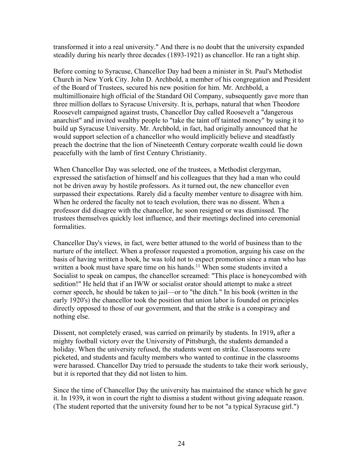transformed it into a real university." And there is no doubt that the university expanded steadily during his nearly three decades (1893-1921) as chancellor. He ran a tight ship.

Before coming to Syracuse, Chancellor Day had been a minister in St. Paul's Methodist Church in New York City. John D. Archbold, a member of his congregation and President of the Board of Trustees, secured his new position for him. Mr. Archbold, a multimillionaire high official of the Standard Oil Company, subsequently gave more than three million dollars to Syracuse University. It is, perhaps, natural that when Theodore Roosevelt campaigned against trusts, Chancellor Day called Roosevelt a "dangerous anarchist" and invited wealthy people to "take the taint off tainted money" by using it to build up Syracuse University. Mr. Archbold, in fact, had originally announced that he would support selection of a chancellor who would implicitly believe and steadfastly preach the doctrine that the lion of Nineteenth Century corporate wealth could lie down peacefully with the lamb of first Century Christianity.

When Chancellor Day was selected, one of the trustees, a Methodist clergyman, expressed the satisfaction of himself and his colleagues that they had a man who could not be driven away by hostile professors. As it turned out, the new chancellor even surpassed their expectations. Rarely did a faculty member venture to disagree with him. When he ordered the faculty not to teach evolution, there was no dissent. When a professor did disagree with the chancellor, he soon resigned or was dismissed. The trustees themselves quickly lost influence, and their meetings declined into ceremonial formalities.

Chancellor Day's views, in fact, were better attuned to the world of business than to the nurture of the intellect. When a professor requested a promotion, arguing his case on the basis of having written a book, he was told not to expect promotion since a man who has written a book must have spare time on his hands.<sup>11</sup> When some students invited a Socialist to speak on campus, the chancellor screamed: "This place is honeycombed with sedition!" He held that if an IWW or socialist orator should attempt to make a street corner speech, he should be taken to jail—or to "the ditch." In his book (written in the early 1920's) the chancellor took the position that union labor is founded on principles directly opposed to those of our government, and that the strike is a conspiracy and nothing else.

Dissent, not completely erased, was carried on primarily by students. In 1919**,** after a mighty football victory over the University of Pittsburgh, the students demanded a holiday. When the university refused, the students went on strike. Classrooms were picketed, and students and faculty members who wanted to continue in the classrooms were harassed. Chancellor Day tried to persuade the students to take their work seriously, but it is reported that they did not listen to him.

Since the time of Chancellor Day the university has maintained the stance which he gave it. In 1939**,** it won in court the right to dismiss a student without giving adequate reason. (The student reported that the university found her to be not "a typical Syracuse girl.")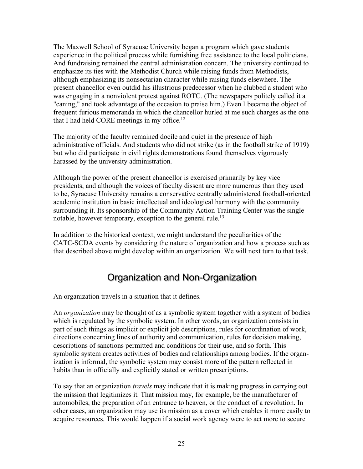The Maxwell School of Syracuse University began a program which gave students experience in the political process while furnishing free assistance to the local politicians. And fundraising remained the central administration concern. The university continued to emphasize its ties with the Methodist Church while raising funds from Methodists, although emphasizing its nonsectarian character while raising funds elsewhere. The present chancellor even outdid his illustrious predecessor when he clubbed a student who was engaging in a nonviolent protest against ROTC. (The newspapers politely called it a "caning," and took advantage of the occasion to praise him.) Even I became the object of frequent furious memoranda in which the chancellor hurled at me such charges as the one that I had held CORE meetings in my office.<sup>12</sup>

The majority of the faculty remained docile and quiet in the presence of high administrative officials. And students who did not strike (as in the football strike of 1919**)**  but who did participate in civil rights demonstrations found themselves vigorously harassed by the university administration.

Although the power of the present chancellor is exercised primarily by key vice presidents, and although the voices of faculty dissent are more numerous than they used to be, Syracuse University remains a conservative centrally administered football-oriented academic institution in basic intellectual and ideological harmony with the community surrounding it. Its sponsorship of the Community Action Training Center was the single notable, however temporary, exception to the general rule.<sup>13</sup>

In addition to the historical context, we might understand the peculiarities of the CATC-SCDA events by considering the nature of organization and how a process such as that described above might develop within an organization. We will next turn to that task.

## Organization and Non-Organization

An organization travels in a situation that it defines.

An *organization* may be thought of as a symbolic system together with a system of bodies which is regulated by the symbolic system. In other words, an organization consists in part of such things as implicit or explicit job descriptions, rules for coordination of work, directions concerning lines of authority and communication, rules for decision making, descriptions of sanctions permitted and conditions for their use, and so forth. This symbolic system creates activities of bodies and relationships among bodies. If the organization is informal, the symbolic system may consist more of the pattern reflected in habits than in officially and explicitly stated or written prescriptions.

To say that an organization *travels* may indicate that it is making progress in carrying out the mission that legitimizes it. That mission may, for example, be the manufacturer of automobiles, the preparation of an entrance to heaven, or the conduct of a revolution. In other cases, an organization may use its mission as a cover which enables it more easily to acquire resources. This would happen if a social work agency were to act more to secure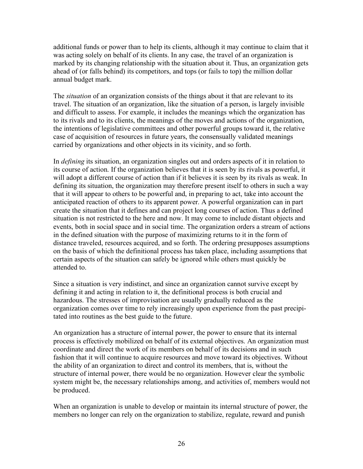additional funds or power than to help its clients, although it may continue to claim that it was acting solely on behalf of its clients. In any case, the travel of an organization is marked by its changing relationship with the situation about it. Thus, an organization gets ahead of (or falls behind) its competitors, and tops (or fails to top) the million dollar annual budget mark.

The *situation* of an organization consists of the things about it that are relevant to its travel. The situation of an organization, like the situation of a person, is largely invisible and difficult to assess. For example, it includes the meanings which the organization has to its rivals and to its clients, the meanings of the moves and actions of the organization, the intentions of legislative committees and other powerful groups toward it, the relative case of acquisition of resources in future years, the consensually validated meanings carried by organizations and other objects in its vicinity, and so forth.

In *defining* its situation, an organization singles out and orders aspects of it in relation to its course of action. If the organization believes that it is seen by its rivals as powerful, it will adopt a different course of action than if it believes it is seen by its rivals as weak. In defining its situation, the organization may therefore present itself to others in such a way that it will appear to others to be powerful and, in preparing to act, take into account the anticipated reaction of others to its apparent power. A powerful organization can in part create the situation that it defines and can project long courses of action. Thus a defined situation is not restricted to the here and now. It may come to include distant objects and events, both in social space and in social time. The organization orders a stream of actions in the defined situation with the purpose of maximizing returns to it in the form of distance traveled, resources acquired, and so forth. The ordering presupposes assumptions on the basis of which the definitional process has taken place, including assumptions that certain aspects of the situation can safely be ignored while others must quickly be attended to.

Since a situation is very indistinct, and since an organization cannot survive except by defining it and acting in relation to it, the definitional process is both crucial and hazardous. The stresses of improvisation are usually gradually reduced as the organization comes over time to rely increasingly upon experience from the past precipitated into routines as the best guide to the future.

An organization has a structure of internal power, the power to ensure that its internal process is effectively mobilized on behalf of its external objectives. An organization must coordinate and direct the work of its members on behalf of its decisions and in such fashion that it will continue to acquire resources and move toward its objectives. Without the ability of an organization to direct and control its members, that is, without the structure of internal power, there would be no organization. However clear the symbolic system might be, the necessary relationships among, and activities of, members would not be produced.

When an organization is unable to develop or maintain its internal structure of power, the members no longer can rely on the organization to stabilize, regulate, reward and punish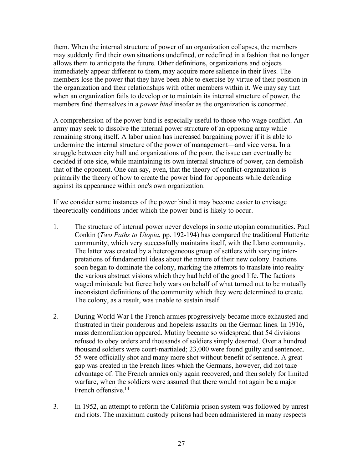them. When the internal structure of power of an organization collapses, the members may suddenly find their own situations undefined, or redefined in a fashion that no longer allows them to anticipate the future. Other definitions, organizations and objects immediately appear different to them, may acquire more salience in their lives. The members lose the power that they have been able to exercise by virtue of their position in the organization and their relationships with other members within it. We may say that when an organization fails to develop or to maintain its internal structure of power, the members find themselves in a *power bind* insofar as the organization is concerned.

A comprehension of the power bind is especially useful to those who wage conflict. An army may seek to dissolve the internal power structure of an opposing army while remaining strong itself. A labor union has increased bargaining power if it is able to undermine the internal structure of the power of management—and vice versa. In a struggle between city hall and organizations of the poor, the issue can eventually be decided if one side, while maintaining its own internal structure of power, can demolish that of the opponent. One can say, even, that the theory of conflict-organization is primarily the theory of how to create the power bind for opponents while defending against its appearance within one's own organization.

If we consider some instances of the power bind it may become easier to envisage theoretically conditions under which the power bind is likely to occur.

- 1. The structure of internal power never develops in some utopian communities. Paul Conkin (*Two Paths to Utopia*, pp. 192-194) has compared the traditional Hutterite community, which very successfully maintains itself, with the Llano community. The latter was created by a heterogeneous group of settlers with varying interpretations of fundamental ideas about the nature of their new colony. Factions soon began to dominate the colony, marking the attempts to translate into reality the various abstract visions which they had held of the good life. The factions waged miniscule but fierce holy wars on behalf of what turned out to be mutually inconsistent definitions of the community which they were determined to create. The colony, as a result, was unable to sustain itself.
- 2. During World War I the French armies progressively became more exhausted and frustrated in their ponderous and hopeless assaults on the German lines. In 1916**,** mass demoralization appeared. Mutiny became so widespread that 54 divisions refused to obey orders and thousands of soldiers simply deserted. Over a hundred thousand soldiers were court-martialed; 23,000 were found guilty and sentenced. 55 were officially shot and many more shot without benefit of sentence. A great gap was created in the French lines which the Germans, however, did not take advantage of. The French armies only again recovered, and then solely for limited warfare, when the soldiers were assured that there would not again be a major French offensive.<sup>14</sup>
- 3. In 1952, an attempt to reform the California prison system was followed by unrest and riots. The maximum custody prisons had been administered in many respects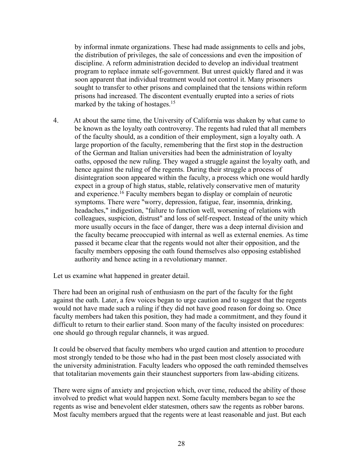by informal inmate organizations. These had made assignments to cells and jobs, the distribution of privileges, the sale of concessions and even the imposition of discipline. A reform administration decided to develop an individual treatment program to replace inmate self-government. But unrest quickly flared and it was soon apparent that individual treatment would not control it. Many prisoners sought to transfer to other prisons and complained that the tensions within reform prisons had increased. The discontent eventually erupted into a series of riots marked by the taking of hostages.<sup>15</sup>

4. At about the same time, the University of California was shaken by what came to be known as the loyalty oath controversy. The regents had ruled that all members of the faculty should, as a condition of their employment, sign a loyalty oath. A large proportion of the faculty, remembering that the first stop in the destruction of the German and Italian universities had been the administration of loyalty oaths, opposed the new ruling. They waged a struggle against the loyalty oath, and hence against the ruling of the regents. During their struggle a process of disintegration soon appeared within the faculty, a process which one would hardly expect in a group of high status, stable, relatively conservative men of maturity and experience.16 Faculty members began to display or complain of neurotic symptoms. There were "worry, depression, fatigue, fear, insomnia, drinking, headaches," indigestion, "failure to function well, worsening of relations with colleagues, suspicion, distrust" and loss of self-respect. Instead of the unity which more usually occurs in the face of danger, there was a deep internal division and the faculty became preoccupied with internal as well as external enemies. As time passed it became clear that the regents would not alter their opposition, and the faculty members opposing the oath found themselves also opposing established authority and hence acting in a revolutionary manner.

Let us examine what happened in greater detail.

There had been an original rush of enthusiasm on the part of the faculty for the fight against the oath. Later, a few voices began to urge caution and to suggest that the regents would not have made such a ruling if they did not have good reason for doing so. Once faculty members had taken this position, they had made a commitment, and they found it difficult to return to their earlier stand. Soon many of the faculty insisted on procedures: one should go through regular channels, it was argued.

It could be observed that faculty members who urged caution and attention to procedure most strongly tended to be those who had in the past been most closely associated with the university administration. Faculty leaders who opposed the oath reminded themselves that totalitarian movements gain their staunchest supporters from law-abiding citizens.

There were signs of anxiety and projection which, over time, reduced the ability of those involved to predict what would happen next. Some faculty members began to see the regents as wise and benevolent elder statesmen, others saw the regents as robber barons. Most faculty members argued that the regents were at least reasonable and just. But each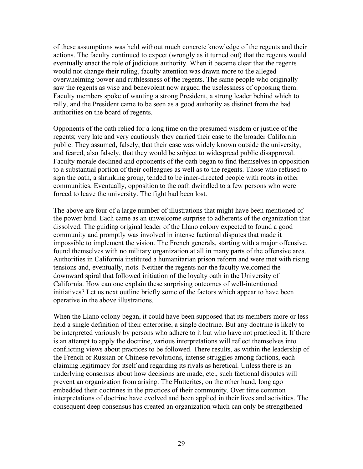of these assumptions was held without much concrete knowledge of the regents and their actions. The faculty continued to expect (wrongly as it turned out) that the regents would eventually enact the role of judicious authority. When it became clear that the regents would not change their ruling, faculty attention was drawn more to the alleged overwhelming power and ruthlessness of the regents. The same people who originally saw the regents as wise and benevolent now argued the uselessness of opposing them. Faculty members spoke of wanting a strong President, a strong leader behind which to rally, and the President came to be seen as a good authority as distinct from the bad authorities on the board of regents.

Opponents of the oath relied for a long time on the presumed wisdom or justice of the regents; very late and very cautiously they carried their case to the broader California public. They assumed, falsely, that their case was widely known outside the university, and feared, also falsely, that they would be subject to widespread public disapproval. Faculty morale declined and opponents of the oath began to find themselves in opposition to a substantial portion of their colleagues as well as to the regents. Those who refused to sign the oath, a shrinking group, tended to be inner-directed people with roots in other communities. Eventually, opposition to the oath dwindled to a few persons who were forced to leave the university. The fight had been lost.

The above are four of a large number of illustrations that might have been mentioned of the power bind. Each came as an unwelcome surprise to adherents of the organization that dissolved. The guiding original leader of the Llano colony expected to found a good community and promptly was involved in intense factional disputes that made it impossible to implement the vision. The French generals, starting with a major offensive, found themselves with no military organization at all in many parts of the offensive area. Authorities in California instituted a humanitarian prison reform and were met with rising tensions and, eventually, riots. Neither the regents nor the faculty welcomed the downward spiral that followed initiation of the loyalty oath in the University of California. How can one explain these surprising outcomes of well-intentioned initiatives? Let us next outline briefly some of the factors which appear to have been operative in the above illustrations.

When the Llano colony began, it could have been supposed that its members more or less held a single definition of their enterprise, a single doctrine. But any doctrine is likely to be interpreted variously by persons who adhere to it but who have not practiced it. If there is an attempt to apply the doctrine, various interpretations will reflect themselves into conflicting views about practices to be followed. There results, as within the leadership of the French or Russian or Chinese revolutions, intense struggles among factions, each claiming legitimacy for itself and regarding its rivals as heretical. Unless there is an underlying consensus about how decisions are made, etc., such factional disputes will prevent an organization from arising. The Hutterites, on the other hand, long ago embedded their doctrines in the practices of their community. Over time common interpretations of doctrine have evolved and been applied in their lives and activities. The consequent deep consensus has created an organization which can only be strengthened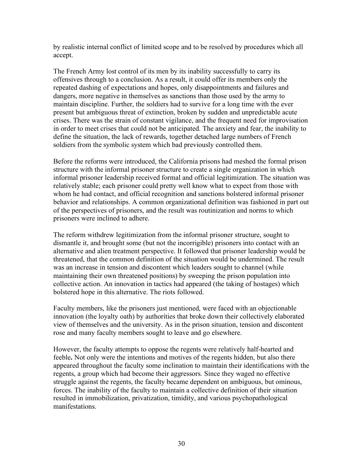by realistic internal conflict of limited scope and to be resolved by procedures which all accept.

The French Army lost control of its men by its inability successfully to carry its offensives through to a conclusion. As a result, it could offer its members only the repeated dashing of expectations and hopes, only disappointments and failures and dangers, more negative in themselves as sanctions than those used by the army to maintain discipline. Further, the soldiers had to survive for a long time with the ever present but ambiguous threat of extinction, broken by sudden and unpredictable acute crises. There was the strain of constant vigilance, and the frequent need for improvisation in order to meet crises that could not be anticipated. The anxiety and fear, the inability to define the situation, the lack of rewards, together detached large numbers of French soldiers from the symbolic system which bad previously controlled them.

Before the reforms were introduced, the California prisons had meshed the formal prison structure with the informal prisoner structure to create a single organization in which informal prisoner leadership received formal and official legitimization. The situation was relatively stable; each prisoner could pretty well know what to expect from those with whom he had contact, and official recognition and sanctions bolstered informal prisoner behavior and relationships. A common organizational definition was fashioned in part out of the perspectives of prisoners, and the result was routinization and norms to which prisoners were inclined to adhere.

The reform withdrew legitimization from the informal prisoner structure, sought to dismantle it, and brought some (but not the incorrigible) prisoners into contact with an alternative and alien treatment perspective. It followed that prisoner leadership would be threatened, that the common definition of the situation would be undermined. The result was an increase in tension and discontent which leaders sought to channel (while maintaining their own threatened positions) by sweeping the prison population into collective action. An innovation in tactics had appeared (the taking of hostages) which bolstered hope in this alternative. The riots followed.

Faculty members, like the prisoners just mentioned, were faced with an objectionable innovation (the loyalty oath) by authorities that broke down their collectively elaborated view of themselves and the university. As in the prison situation, tension and discontent rose and many faculty members sought to leave and go elsewhere.

However, the faculty attempts to oppose the regents were relatively half-hearted and feeble**.** Not only were the intentions and motives of the regents hidden, but also there appeared throughout the faculty some inclination to maintain their identifications with the regents, a group which had become their aggressors. Since they waged no effective struggle against the regents, the faculty became dependent on ambiguous, but ominous, forces. The inability of the faculty to maintain a collective definition of their situation resulted in immobilization, privatization, timidity, and various psychopathological manifestations.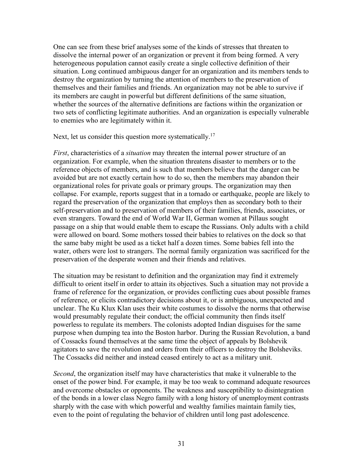One can see from these brief analyses some of the kinds of stresses that threaten to dissolve the internal power of an organization or prevent it from being formed. A very heterogeneous population cannot easily create a single collective definition of their situation. Long continued ambiguous danger for an organization and its members tends to destroy the organization by turning the attention of members to the preservation of themselves and their families and friends. An organization may not be able to survive if its members are caught in powerful but different definitions of the same situation, whether the sources of the alternative definitions are factions within the organization or two sets of conflicting legitimate authorities. And an organization is especially vulnerable to enemies who are legitimately within it.

Next, let us consider this question more systematically.<sup>17</sup>

*First*, characteristics of a *situation* may threaten the internal power structure of an organization. For example, when the situation threatens disaster to members or to the reference objects of members, and is such that members believe that the danger can be avoided but are not exactly certain how to do so, then the members may abandon their organizational roles for private goals or primary groups. The organization may then collapse. For example, reports suggest that in a tornado or earthquake, people are likely to regard the preservation of the organization that employs then as secondary both to their self-preservation and to preservation of members of their families, friends, associates, or even strangers. Toward the end of World War II, German women at Pillaus sought passage on a ship that would enable them to escape the Russians. Only adults with a child were allowed on board. Some mothers tossed their babies to relatives on the dock so that the same baby might be used as a ticket half a dozen times. Some babies fell into the water, others were lost to strangers. The normal family organization was sacrificed for the preservation of the desperate women and their friends and relatives.

The situation may be resistant to definition and the organization may find it extremely difficult to orient itself in order to attain its objectives. Such a situation may not provide a frame of reference for the organization, or provides conflicting cues about possible frames of reference, or elicits contradictory decisions about it, or is ambiguous, unexpected and unclear. The Ku Klux Klan uses their white costumes to dissolve the norms that otherwise would presumably regulate their conduct; the official community then finds itself powerless to regulate its members. The colonists adopted Indian disguises for the same purpose when dumping tea into the Boston harbor. During the Russian Revolution, a band of Cossacks found themselves at the same time the object of appeals by Bolshevik agitators to save the revolution and orders from their officers to destroy the Bolsheviks. The Cossacks did neither and instead ceased entirely to act as a military unit.

*Second*, the organization itself may have characteristics that make it vulnerable to the onset of the power bind. For example, it may be too weak to command adequate resources and overcome obstacles or opponents. The weakness and susceptibility to disintegration of the bonds in a lower class Negro family with a long history of unemployment contrasts sharply with the case with which powerful and wealthy families maintain family ties, even to the point of regulating the behavior of children until long past adolescence.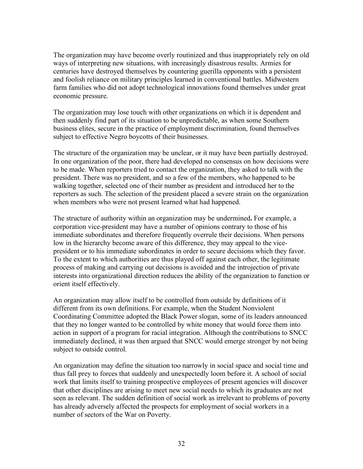The organization may have become overly routinized and thus inappropriately rely on old ways of interpreting new situations, with increasingly disastrous results. Armies for centuries have destroyed themselves by countering guerilla opponents with a persistent and foolish reliance on military principles learned in conventional battles. Midwestern farm families who did not adopt technological innovations found themselves under great economic pressure.

The organization may lose touch with other organizations on which it is dependent and then suddenly find part of its situation to be unpredictable, as when some Southern business elites, secure in the practice of employment discrimination, found themselves subject to effective Negro boycotts of their businesses.

The structure of the organization may be unclear, or it may have been partially destroyed. In one organization of the poor, there had developed no consensus on how decisions were to be made. When reporters tried to contact the organization, they asked to talk with the president. There was no president, and so a few of the members, who happened to be walking together, selected one of their number as president and introduced her to the reporters as such. The selection of the president placed a severe strain on the organization when members who were not present learned what had happened.

The structure of authority within an organization may be undermined**.** For example, a corporation vice-president may have a number of opinions contrary to those of his immediate subordinates and therefore frequently overrule their decisions. When persons low in the hierarchy become aware of this difference, they may appeal to the vicepresident or to his immediate subordinates in order to secure decisions which they favor. To the extent to which authorities are thus played off against each other, the legitimate process of making and carrying out decisions is avoided and the introjection of private interests into organizational direction reduces the ability of the organization to function or orient itself effectively.

An organization may allow itself to be controlled from outside by definitions of it different from its own definitions. For example, when the Student Nonviolent Coordinating Committee adopted the Black Power slogan, some of its leaders announced that they no longer wanted to be controlled by white money that would force them into action in support of a program for racial integration. Although the contributions to SNCC immediately declined, it was then argued that SNCC would emerge stronger by not being subject to outside control.

An organization may define the situation too narrowly in social space and social time and thus fall prey to forces that suddenly and unexpectedly loom before it. A school of social work that limits itself to training prospective employees of present agencies will discover that other disciplines are arising to meet new social needs to which its graduates are not seen as relevant. The sudden definition of social work as irrelevant to problems of poverty has already adversely affected the prospects for employment of social workers in a number of sectors of the War on Poverty.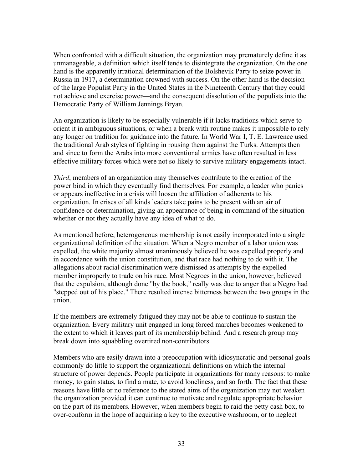When confronted with a difficult situation, the organization may prematurely define it as unmanageable, a definition which itself tends to disintegrate the organization. On the one hand is the apparently irrational determination of the Bolshevik Party to seize power in Russia in 1917**,** a determination crowned with success. On the other hand is the decision of the large Populist Party in the United States in the Nineteenth Century that they could not achieve and exercise power—and the consequent dissolution of the populists into the Democratic Party of William Jennings Bryan.

An organization is likely to be especially vulnerable if it lacks traditions which serve to orient it in ambiguous situations, or when a break with routine makes it impossible to rely any longer on tradition for guidance into the future. In World War I, T. E. Lawrence used the traditional Arab styles of fighting in rousing them against the Turks. Attempts then and since to form the Arabs into more conventional armies have often resulted in less effective military forces which were not so likely to survive military engagements intact.

*Third*, members of an organization may themselves contribute to the creation of the power bind in which they eventually find themselves. For example, a leader who panics or appears ineffective in a crisis will loosen the affiliation of adherents to his organization. In crises of all kinds leaders take pains to be present with an air of confidence or determination, giving an appearance of being in command of the situation whether or not they actually have any idea of what to do.

As mentioned before, heterogeneous membership is not easily incorporated into a single organizational definition of the situation. When a Negro member of a labor union was expelled, the white majority almost unanimously believed he was expelled properly and in accordance with the union constitution, and that race had nothing to do with it. The allegations about racial discrimination were dismissed as attempts by the expelled member improperly to trade on his race. Most Negroes in the union, however, believed that the expulsion, although done "by the book," really was due to anger that a Negro had "stepped out of his place." There resulted intense bitterness between the two groups in the union.

If the members are extremely fatigued they may not be able to continue to sustain the organization. Every military unit engaged in long forced marches becomes weakened to the extent to which it leaves part of its membership behind. And a research group may break down into squabbling overtired non-contributors.

Members who are easily drawn into a preoccupation with idiosyncratic and personal goals commonly do little to support the organizational definitions on which the internal structure of power depends. People participate in organizations for many reasons: to make money, to gain status, to find a mate, to avoid loneliness, and so forth. The fact that these reasons have little or no reference to the stated aims of the organization may not weaken the organization provided it can continue to motivate and regulate appropriate behavior on the part of its members. However, when members begin to raid the petty cash box, to over-conform in the hope of acquiring a key to the executive washroom, or to neglect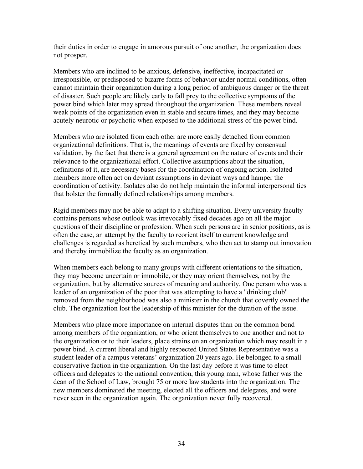their duties in order to engage in amorous pursuit of one another, the organization does not prosper.

Members who are inclined to be anxious, defensive, ineffective, incapacitated or irresponsible, or predisposed to bizarre forms of behavior under normal conditions, often cannot maintain their organization during a long period of ambiguous danger or the threat of disaster. Such people are likely early to fall prey to the collective symptoms of the power bind which later may spread throughout the organization. These members reveal weak points of the organization even in stable and secure times, and they may become acutely neurotic or psychotic when exposed to the additional stress of the power bind.

Members who are isolated from each other are more easily detached from common organizational definitions. That is, the meanings of events are fixed by consensual validation, by the fact that there is a general agreement on the nature of events and their relevance to the organizational effort. Collective assumptions about the situation, definitions of it, are necessary bases for the coordination of ongoing action. Isolated members more often act on deviant assumptions in deviant ways and hamper the coordination of activity. Isolates also do not help maintain the informal interpersonal ties that bolster the formally defined relationships among members.

Rigid members may not be able to adapt to a shifting situation. Every university faculty contains persons whose outlook was irrevocably fixed decades ago on all the major questions of their discipline or profession. When such persons are in senior positions, as is often the case, an attempt by the faculty to reorient itself to current knowledge and challenges is regarded as heretical by such members, who then act to stamp out innovation and thereby immobilize the faculty as an organization.

When members each belong to many groups with different orientations to the situation, they may become uncertain or immobile, or they may orient themselves, not by the organization, but by alternative sources of meaning and authority. One person who was a leader of an organization of the poor that was attempting to have a "drinking club" removed from the neighborhood was also a minister in the church that covertly owned the club. The organization lost the leadership of this minister for the duration of the issue.

Members who place more importance on internal disputes than on the common bond among members of the organization, or who orient themselves to one another and not to the organization or to their leaders, place strains on an organization which may result in a power bind. A current liberal and highly respected United States Representative was a student leader of a campus veterans' organization 20 years ago. He belonged to a small conservative faction in the organization. On the last day before it was time to elect officers and delegates to the national convention, this young man, whose father was the dean of the School of Law, brought 75 or more law students into the organization. The new members dominated the meeting, elected all the officers and delegates, and were never seen in the organization again. The organization never fully recovered.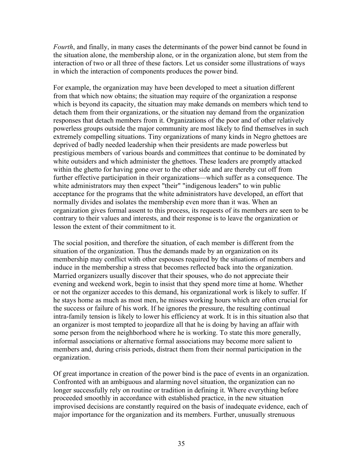*Fourth*, and finally, in many cases the determinants of the power bind cannot be found in the situation alone, the membership alone, or in the organization alone, but stem from the interaction of two or all three of these factors. Let us consider some illustrations of ways in which the interaction of components produces the power bind.

For example, the organization may have been developed to meet a situation different from that which now obtains; the situation may require of the organization a response which is beyond its capacity, the situation may make demands on members which tend to detach them from their organizations, or the situation nay demand from the organization responses that detach members from it. Organizations of the poor and of other relatively powerless groups outside the major community are most likely to find themselves in such extremely compelling situations. Tiny organizations of many kinds in Negro ghettoes are deprived of badly needed leadership when their presidents are made powerless but prestigious members of various boards and committees that continue to be dominated by white outsiders and which administer the ghettoes. These leaders are promptly attacked within the ghetto for having gone over to the other side and are thereby cut off from further effective participation in their organizations—which suffer as a consequence. The white administrators may then expect "their" "indigenous leaders" to win public acceptance for the programs that the white administrators have developed, an effort that normally divides and isolates the membership even more than it was. When an organization gives formal assent to this process, its requests of its members are seen to be contrary to their values and interests, and their response is to leave the organization or lesson the extent of their commitment to it.

The social position, and therefore the situation, of each member is different from the situation of the organization. Thus the demands made by an organization on its membership may conflict with other espouses required by the situations of members and induce in the membership a stress that becomes reflected back into the organization. Married organizers usually discover that their spouses, who do not appreciate their evening and weekend work, begin to insist that they spend more time at home. Whether or not the organizer accedes to this demand, his organizational work is likely to suffer. If he stays home as much as most men, he misses working hours which are often crucial for the success or failure of his work. If he ignores the pressure, the resulting continual intra-family tension is likely to lower his efficiency at work. It is in this situation also that an organizer is most tempted to jeopardize all that he is doing by having an affair with some person from the neighborhood where he is working. To state this more generally, informal associations or alternative formal associations may become more salient to members and, during crisis periods, distract them from their normal participation in the organization.

Of great importance in creation of the power bind is the pace of events in an organization. Confronted with an ambiguous and alarming novel situation, the organization can no longer successfully rely on routine or tradition in defining it. Where everything before proceeded smoothly in accordance with established practice, in the new situation improvised decisions are constantly required on the basis of inadequate evidence, each of major importance for the organization and its members. Further, unusually strenuous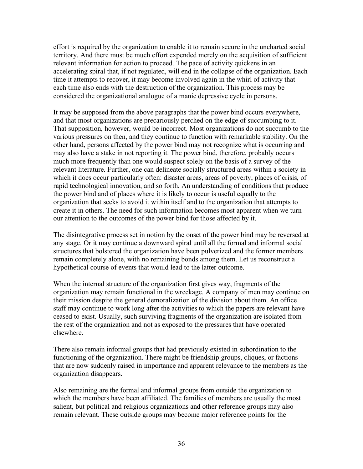effort is required by the organization to enable it to remain secure in the uncharted social territory. And there must be much effort expended merely on the acquisition of sufficient relevant information for action to proceed. The pace of activity quickens in an accelerating spiral that, if not regulated, will end in the collapse of the organization. Each time it attempts to recover, it may become involved again in the whirl of activity that each time also ends with the destruction of the organization. This process may be considered the organizational analogue of a manic depressive cycle in persons.

It may be supposed from the above paragraphs that the power bind occurs everywhere, and that most organizations are precariously perched on the edge of succumbing to it. That supposition, however, would be incorrect. Most organizations do not succumb to the various pressures on then, and they continue to function with remarkable stability. On the other hand, persons affected by the power bind may not recognize what is occurring and may also have a stake in not reporting it. The power bind, therefore, probably occurs much more frequently than one would suspect solely on the basis of a survey of the relevant literature. Further, one can delineate socially structured areas within a society in which it does occur particularly often: disaster areas, areas of poverty, places of crisis, of rapid technological innovation, and so forth. An understanding of conditions that produce the power bind and of places where it is likely to occur is useful equally to the organization that seeks to avoid it within itself and to the organization that attempts to create it in others. The need for such information becomes most apparent when we turn our attention to the outcomes of the power bind for those affected by it.

The disintegrative process set in notion by the onset of the power bind may be reversed at any stage. Or it may continue a downward spiral until all the formal and informal social structures that bolstered the organization have been pulverized and the former members remain completely alone, with no remaining bonds among them. Let us reconstruct a hypothetical course of events that would lead to the latter outcome.

When the internal structure of the organization first gives way, fragments of the organization may remain functional in the wreckage. A company of men may continue on their mission despite the general demoralization of the division about them. An office staff may continue to work long after the activities to which the papers are relevant have ceased to exist. Usually, such surviving fragments of the organization are isolated from the rest of the organization and not as exposed to the pressures that have operated elsewhere.

There also remain informal groups that had previously existed in subordination to the functioning of the organization. There might be friendship groups, cliques, or factions that are now suddenly raised in importance and apparent relevance to the members as the organization disappears.

Also remaining are the formal and informal groups from outside the organization to which the members have been affiliated. The families of members are usually the most salient, but political and religious organizations and other reference groups may also remain relevant. These outside groups may become major reference points for the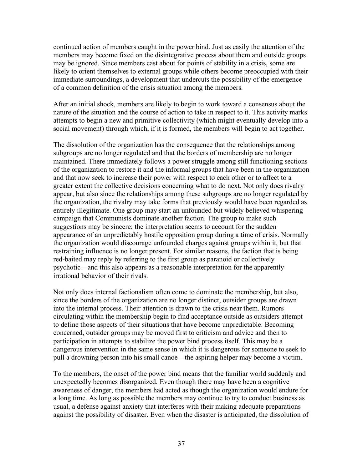continued action of members caught in the power bind. Just as easily the attention of the members may become fixed on the disintegrative process about them and outside groups may be ignored. Since members cast about for points of stability in a crisis, some are likely to orient themselves to external groups while others become preoccupied with their immediate surroundings, a development that undercuts the possibility of the emergence of a common definition of the crisis situation among the members.

After an initial shock, members are likely to begin to work toward a consensus about the nature of the situation and the course of action to take in respect to it. This activity marks attempts to begin a new and primitive collectivity (which might eventually develop into a social movement) through which, if it is formed, the members will begin to act together.

The dissolution of the organization has the consequence that the relationships among subgroups are no longer regulated and that the borders of membership are no longer maintained. There immediately follows a power struggle among still functioning sections of the organization to restore it and the informal groups that have been in the organization and that now seek to increase their power with respect to each other or to affect to a greater extent the collective decisions concerning what to do next. Not only does rivalry appear, but also since the relationships among these subgroups are no longer regulated by the organization, the rivalry may take forms that previously would have been regarded as entirely illegitimate. One group may start an unfounded but widely believed whispering campaign that Communists dominate another faction. The group to make such suggestions may be sincere; the interpretation seems to account for the sudden appearance of an unpredictably hostile opposition group during a time of crisis. Normally the organization would discourage unfounded charges against groups within it, but that restraining influence is no longer present. For similar reasons, the faction that is being red-baited may reply by referring to the first group as paranoid or collectively psychotic—and this also appears as a reasonable interpretation for the apparently irrational behavior of their rivals.

Not only does internal factionalism often come to dominate the membership, but also, since the borders of the organization are no longer distinct, outsider groups are drawn into the internal process. Their attention is drawn to the crisis near them. Rumors circulating within the membership begin to find acceptance outside as outsiders attempt to define those aspects of their situations that have become unpredictable. Becoming concerned, outsider groups may be moved first to criticism and advice and then to participation in attempts to stabilize the power bind process itself. This may be a dangerous intervention in the same sense in which it is dangerous for someone to seek to pull a drowning person into his small canoe—the aspiring helper may become a victim.

To the members, the onset of the power bind means that the familiar world suddenly and unexpectedly becomes disorganized. Even though there may have been a cognitive awareness of danger, the members had acted as though the organization would endure for a long time. As long as possible the members may continue to try to conduct business as usual, a defense against anxiety that interferes with their making adequate preparations against the possibility of disaster. Even when the disaster is anticipated, the dissolution of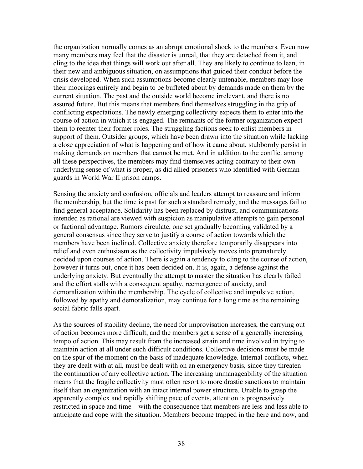the organization normally comes as an abrupt emotional shock to the members. Even now many members may feel that the disaster is unreal, that they are detached from it, and cling to the idea that things will work out after all. They are likely to continue to lean, in their new and ambiguous situation, on assumptions that guided their conduct before the crisis developed. When such assumptions become clearly untenable, members may lose their moorings entirely and begin to be buffeted about by demands made on them by the current situation. The past and the outside world become irrelevant, and there is no assured future. But this means that members find themselves struggling in the grip of conflicting expectations. The newly emerging collectivity expects them to enter into the course of action in which it is engaged. The remnants of the former organization expect them to reenter their former roles. The struggling factions seek to enlist members in support of them. Outsider groups, which have been drawn into the situation while lacking a close appreciation of what is happening and of how it came about, stubbornly persist in making demands on members that cannot be met. And in addition to the conflict among all these perspectives, the members may find themselves acting contrary to their own underlying sense of what is proper, as did allied prisoners who identified with German guards in World War II prison camps.

Sensing the anxiety and confusion, officials and leaders attempt to reassure and inform the membership, but the time is past for such a standard remedy, and the messages fail to find general acceptance. Solidarity has been replaced by distrust, and communications intended as rational are viewed with suspicion as manipulative attempts to gain personal or factional advantage. Rumors circulate, one set gradually becoming validated by a general consensus since they serve to justify a course of action towards which the members have been inclined. Collective anxiety therefore temporarily disappears into relief and even enthusiasm as the collectivity impulsively moves into prematurely decided upon courses of action. There is again a tendency to cling to the course of action, however it turns out, once it has been decided on. It is, again, a defense against the underlying anxiety. But eventually the attempt to master the situation has clearly failed and the effort stalls with a consequent apathy, reemergence of anxiety, and demoralization within the membership. The cycle of collective and impulsive action, followed by apathy and demoralization, may continue for a long time as the remaining social fabric falls apart.

As the sources of stability decline, the need for improvisation increases, the carrying out of action becomes more difficult, and the members get a sense of a generally increasing tempo of action. This may result from the increased strain and time involved in trying to maintain action at all under such difficult conditions. Collective decisions must be made on the spur of the moment on the basis of inadequate knowledge. Internal conflicts, when they are dealt with at all, must be dealt with on an emergency basis, since they threaten the continuation of any collective action. The increasing unmanageability of the situation means that the fragile collectivity must often resort to more drastic sanctions to maintain itself than an organization with an intact internal power structure. Unable to grasp the apparently complex and rapidly shifting pace of events, attention is progressively restricted in space and time—with the consequence that members are less and less able to anticipate and cope with the situation. Members become trapped in the here and now, and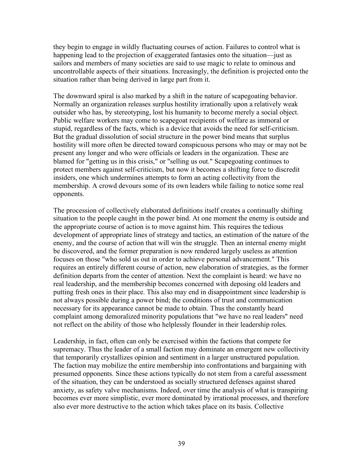they begin to engage in wildly fluctuating courses of action. Failures to control what is happening lead to the projection of exaggerated fantasies onto the situation—just as sailors and members of many societies are said to use magic to relate to ominous and uncontrollable aspects of their situations. Increasingly, the definition is projected onto the situation rather than being derived in large part from it.

The downward spiral is also marked by a shift in the nature of scapegoating behavior. Normally an organization releases surplus hostility irrationally upon a relatively weak outsider who has, by stereotyping, lost his humanity to become merely a social object. Public welfare workers may come to scapegoat recipients of welfare as immoral or stupid, regardless of the facts, which is a device that avoids the need for self-criticism. But the gradual dissolution of social structure in the power bind means that surplus hostility will more often be directed toward conspicuous persons who may or may not be present any longer and who were officials or leaders in the organization. These are blamed for "getting us in this crisis," or "selling us out." Scapegoating continues to protect members against self-criticism, but now it becomes a shifting force to discredit insiders, one which undermines attempts to form an acting collectivity from the membership. A crowd devours some of its own leaders while failing to notice some real opponents.

The procession of collectively elaborated definitions itself creates a continually shifting situation to the people caught in the power bind. At one moment the enemy is outside and the appropriate course of action is to move against him. This requires the tedious development of appropriate lines of strategy and tactics, an estimation of the nature of the enemy, and the course of action that will win the struggle. Then an internal enemy might be discovered, and the former preparation is now rendered largely useless as attention focuses on those "who sold us out in order to achieve personal advancement." This requires an entirely different course of action, new elaboration of strategies, as the former definition departs from the center of attention. Next the complaint is heard: we have no real leadership, and the membership becomes concerned with deposing old leaders and putting fresh ones in their place. This also may end in disappointment since leadership is not always possible during a power bind; the conditions of trust and communication necessary for its appearance cannot be made to obtain. Thus the constantly heard complaint among demoralized minority populations that "we have no real leaders" need not reflect on the ability of those who helplessly flounder in their leadership roles.

Leadership, in fact, often can only be exercised within the factions that compete for supremacy. Thus the leader of a small faction may dominate an emergent new collectivity that temporarily crystallizes opinion and sentiment in a larger unstructured population. The faction may mobilize the entire membership into confrontations and bargaining with presumed opponents. Since these actions typically do not stem from a careful assessment of the situation, they can be understood as socially structured defenses against shared anxiety, as safety valve mechanisms. Indeed, over time the analysis of what is transpiring becomes ever more simplistic, ever more dominated by irrational processes, and therefore also ever more destructive to the action which takes place on its basis. Collective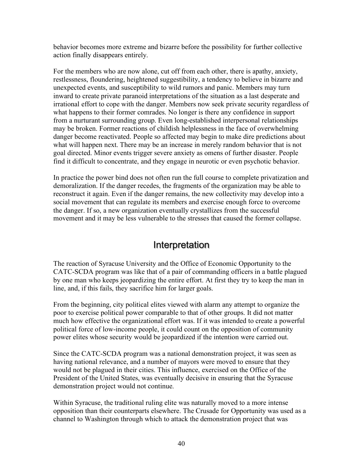behavior becomes more extreme and bizarre before the possibility for further collective action finally disappears entirely.

For the members who are now alone, cut off from each other, there is apathy, anxiety, restlessness, floundering, heightened suggestibility, a tendency to believe in bizarre and unexpected events, and susceptibility to wild rumors and panic. Members may turn inward to create private paranoid interpretations of the situation as a last desperate and irrational effort to cope with the danger. Members now seek private security regardless of what happens to their former comrades. No longer is there any confidence in support from a nurturant surrounding group. Even long-established interpersonal relationships may be broken. Former reactions of childish helplessness in the face of overwhelming danger become reactivated. People so affected may begin to make dire predictions about what will happen next. There may be an increase in merely random behavior that is not goal directed. Minor events trigger severe anxiety as omens of further disaster. People find it difficult to concentrate, and they engage in neurotic or even psychotic behavior.

In practice the power bind does not often run the full course to complete privatization and demoralization. If the danger recedes, the fragments of the organization may be able to reconstruct it again. Even if the danger remains, the new collectivity may develop into a social movement that can regulate its members and exercise enough force to overcome the danger. If so, a new organization eventually crystallizes from the successful movement and it may be less vulnerable to the stresses that caused the former collapse.

#### Interpretation

The reaction of Syracuse University and the Office of Economic Opportunity to the CATC-SCDA program was like that of a pair of commanding officers in a battle plagued by one man who keeps jeopardizing the entire effort. At first they try to keep the man in line, and, if this fails, they sacrifice him for larger goals.

From the beginning, city political elites viewed with alarm any attempt to organize the poor to exercise political power comparable to that of other groups. It did not matter much how effective the organizational effort was. If it was intended to create a powerful political force of low-income people, it could count on the opposition of community power elites whose security would be jeopardized if the intention were carried out.

Since the CATC-SCDA program was a national demonstration project, it was seen as having national relevance, and a number of mayors were moved to ensure that they would not be plagued in their cities. This influence, exercised on the Office of the President of the United States, was eventually decisive in ensuring that the Syracuse demonstration project would not continue.

Within Syracuse, the traditional ruling elite was naturally moved to a more intense opposition than their counterparts elsewhere. The Crusade for Opportunity was used as a channel to Washington through which to attack the demonstration project that was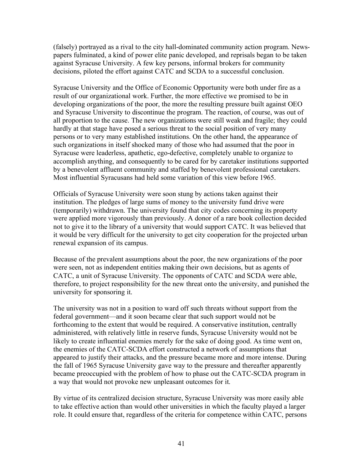(falsely) portrayed as a rival to the city hall-dominated community action program. Newspapers fulminated, a kind of power elite panic developed, and reprisals began to be taken against Syracuse University. A few key persons, informal brokers for community decisions, piloted the effort against CATC and SCDA to a successful conclusion.

Syracuse University and the Office of Economic Opportunity were both under fire as a result of our organizational work. Further, the more effective we promised to be in developing organizations of the poor, the more the resulting pressure built against OEO and Syracuse University to discontinue the program. The reaction, of course, was out of all proportion to the cause. The new organizations were still weak and fragile; they could hardly at that stage have posed a serious threat to the social position of very many persons or to very many established institutions. On the other hand, the appearance of such organizations in itself shocked many of those who had assumed that the poor in Syracuse were leaderless, apathetic, ego-defective, completely unable to organize to accomplish anything, and consequently to be cared for by caretaker institutions supported by a benevolent affluent community and staffed by benevolent professional caretakers. Most influential Syracusans had held some variation of this view before 1965.

Officials of Syracuse University were soon stung by actions taken against their institution. The pledges of large sums of money to the university fund drive were (temporarily) withdrawn. The university found that city codes concerning its property were applied more vigorously than previously. A donor of a rare book collection decided not to give it to the library of a university that would support CATC. It was believed that it would be very difficult for the university to get city cooperation for the projected urban renewal expansion of its campus.

Because of the prevalent assumptions about the poor, the new organizations of the poor were seen, not as independent entities making their own decisions, but as agents of CATC, a unit of Syracuse University. The opponents of CATC and SCDA were able, therefore, to project responsibility for the new threat onto the university, and punished the university for sponsoring it.

The university was not in a position to ward off such threats without support from the federal government—and it soon became clear that such support would not be forthcoming to the extent that would be required. A conservative institution, centrally administered, with relatively little in reserve funds, Syracuse University would not be likely to create influential enemies merely for the sake of doing good. As time went on, the enemies of the CATC-SCDA effort constructed a network of assumptions that appeared to justify their attacks, and the pressure became more and more intense. During the fall of 1965 Syracuse University gave way to the pressure and thereafter apparently became preoccupied with the problem of how to phase out the CATC-SCDA program in a way that would not provoke new unpleasant outcomes for it.

By virtue of its centralized decision structure, Syracuse University was more easily able to take effective action than would other universities in which the faculty played a larger role. It could ensure that, regardless of the criteria for competence within CATC, persons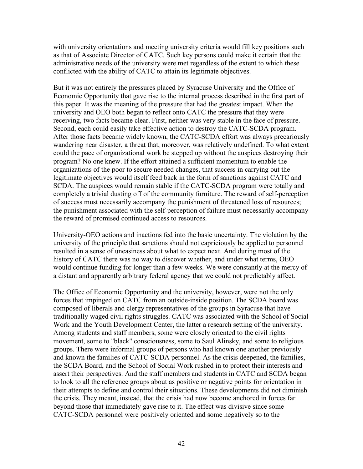with university orientations and meeting university criteria would fill key positions such as that of Associate Director of CATC. Such key persons could make it certain that the administrative needs of the university were met regardless of the extent to which these conflicted with the ability of CATC to attain its legitimate objectives.

But it was not entirely the pressures placed by Syracuse University and the Office of Economic Opportunity that gave rise to the internal process described in the first part of this paper. It was the meaning of the pressure that had the greatest impact. When the university and OEO both began to reflect onto CATC the pressure that they were receiving, two facts became clear. First, neither was very stable in the face of pressure. Second, each could easily take effective action to destroy the CATC-SCDA program. After those facts became widely known, the CATC-SCDA effort was always precariously wandering near disaster, a threat that, moreover, was relatively undefined. To what extent could the pace of organizational work be stepped up without the auspices destroying their program? No one knew. If the effort attained a sufficient momentum to enable the organizations of the poor to secure needed changes, that success in carrying out the legitimate objectives would itself feed back in the form of sanctions against CATC and SCDA. The auspices would remain stable if the CATC-SCDA program were totally and completely a trivial dusting off of the community furniture. The reward of self-perception of success must necessarily accompany the punishment of threatened loss of resources; the punishment associated with the self-perception of failure must necessarily accompany the reward of promised continued access to resources.

University-OEO actions and inactions fed into the basic uncertainty. The violation by the university of the principle that sanctions should not capriciously be applied to personnel resulted in a sense of uneasiness about what to expect next. And during most of the history of CATC there was no way to discover whether, and under what terms, OEO would continue funding for longer than a few weeks. We were constantly at the mercy of a distant and apparently arbitrary federal agency that we could not predictably affect.

The Office of Economic Opportunity and the university, however, were not the only forces that impinged on CATC from an outside-inside position. The SCDA board was composed of liberals and clergy representatives of the groups in Syracuse that have traditionally waged civil rights struggles. CATC was associated with the School of Social Work and the Youth Development Center, the latter a research setting of the university. Among students and staff members, some were closely oriented to the civil rights movement, some to "black" consciousness, some to Saul Alinsky, and some to religious groups. There were informal groups of persons who had known one another previously and known the families of CATC-SCDA personnel. As the crisis deepened, the families, the SCDA Board, and the School of Social Work rushed in to protect their interests and assert their perspectives. And the staff members and students in CATC and SCDA began to look to all the reference groups about as positive or negative points for orientation in their attempts to define and control their situations. These developments did not diminish the crisis. They meant, instead, that the crisis had now become anchored in forces far beyond those that immediately gave rise to it. The effect was divisive since some CATC-SCDA personnel were positively oriented and some negatively so to the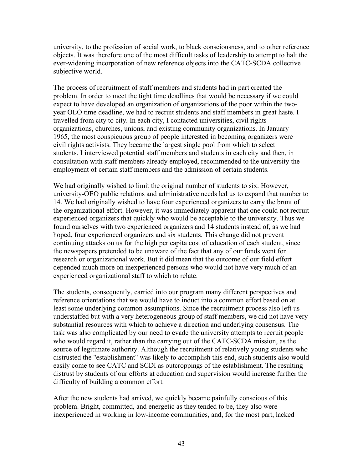university, to the profession of social work, to black consciousness, and to other reference objects. It was therefore one of the most difficult tasks of leadership to attempt to halt the ever-widening incorporation of new reference objects into the CATC-SCDA collective subjective world.

The process of recruitment of staff members and students had in part created the problem. In order to meet the tight time deadlines that would be necessary if we could expect to have developed an organization of organizations of the poor within the twoyear OEO time deadline, we had to recruit students and staff members in great haste. I travelled from city to city. In each city, I contacted universities, civil rights organizations, churches, unions, and existing community organizations. In January 1965, the most conspicuous group of people interested in becoming organizers were civil rights activists. They became the largest single pool from which to select students. I interviewed potential staff members and students in each city and then, in consultation with staff members already employed, recommended to the university the employment of certain staff members and the admission of certain students.

We had originally wished to limit the original number of students to six. However, university-OEO public relations and administrative needs led us to expand that number to 14. We had originally wished to have four experienced organizers to carry the brunt of the organizational effort. However, it was immediately apparent that one could not recruit experienced organizers that quickly who would be acceptable to the university. Thus we found ourselves with two experienced organizers and 14 students instead of, as we had hoped, four experienced organizers and six students. This change did not prevent continuing attacks on us for the high per capita cost of education of each student, since the newspapers pretended to be unaware of the fact that any of our funds went for research or organizational work. But it did mean that the outcome of our field effort depended much more on inexperienced persons who would not have very much of an experienced organizational staff to which to relate.

The students, consequently, carried into our program many different perspectives and reference orientations that we would have to induct into a common effort based on at least some underlying common assumptions. Since the recruitment process also left us understaffed but with a very heterogeneous group of staff members, we did not have very substantial resources with which to achieve a direction and underlying consensus. The task was also complicated by our need to evade the university attempts to recruit people who would regard it, rather than the carrying out of the CATC-SCDA mission, as the source of legitimate authority. Although the recruitment of relatively young students who distrusted the "establishment" was likely to accomplish this end, such students also would easily come to see CATC and SCDI as outcroppings of the establishment. The resulting distrust by students of our efforts at education and supervision would increase further the difficulty of building a common effort.

After the new students had arrived, we quickly became painfully conscious of this problem. Bright, committed, and energetic as they tended to be, they also were inexperienced in working in low-income communities, and, for the most part, lacked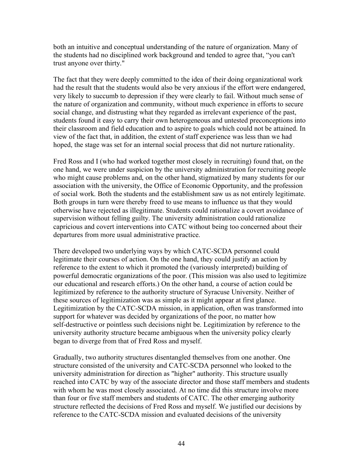both an intuitive and conceptual understanding of the nature of organization. Many of the students had no disciplined work background and tended to agree that, "you can't trust anyone over thirty."

The fact that they were deeply committed to the idea of their doing organizational work had the result that the students would also be very anxious if the effort were endangered, very likely to succumb to depression if they were clearly to fail. Without much sense of the nature of organization and community, without much experience in efforts to secure social change, and distrusting what they regarded as irrelevant experience of the past, students found it easy to carry their own heterogeneous and untested preconceptions into their classroom and field education and to aspire to goals which could not be attained. In view of the fact that, in addition, the extent of staff experience was less than we had hoped, the stage was set for an internal social process that did not nurture rationality.

Fred Ross and I (who had worked together most closely in recruiting) found that, on the one hand, we were under suspicion by the university administration for recruiting people who might cause problems and, on the other hand, stigmatized by many students for our association with the university, the Office of Economic Opportunity, and the profession of social work. Both the students and the establishment saw us as not entirely legitimate. Both groups in turn were thereby freed to use means to influence us that they would otherwise have rejected as illegitimate. Students could rationalize a covert avoidance of supervision without felling guilty. The university administration could rationalize capricious and covert interventions into CATC without being too concerned about their departures from more usual administrative practice.

There developed two underlying ways by which CATC-SCDA personnel could legitimate their courses of action. On the one hand, they could justify an action by reference to the extent to which it promoted the (variously interpreted) building of powerful democratic organizations of the poor. (This mission was also used to legitimize our educational and research efforts.) On the other hand, a course of action could be legitimized by reference to the authority structure of Syracuse University. Neither of these sources of legitimization was as simple as it might appear at first glance. Legitimization by the CATC-SCDA mission, in application, often was transformed into support for whatever was decided by organizations of the poor, no matter how self-destructive or pointless such decisions night be. Legitimization by reference to the university authority structure became ambiguous when the university policy clearly began to diverge from that of Fred Ross and myself.

Gradually, two authority structures disentangled themselves from one another. One structure consisted of the university and CATC-SCDA personnel who looked to the university administration for direction as "higher" authority. This structure usually reached into CATC by way of the associate director and those staff members and students with whom he was most closely associated. At no time did this structure involve more than four or five staff members and students of CATC. The other emerging authority structure reflected the decisions of Fred Ross and myself. We justified our decisions by reference to the CATC-SCDA mission and evaluated decisions of the university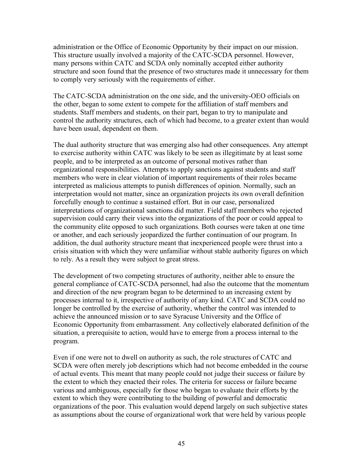administration or the Office of Economic Opportunity by their impact on our mission. This structure usually involved a majority of the CATC-SCDA personnel. However, many persons within CATC and SCDA only nominally accepted either authority structure and soon found that the presence of two structures made it unnecessary for them to comply very seriously with the requirements of either.

The CATC-SCDA administration on the one side, and the university-OEO officials on the other, began to some extent to compete for the affiliation of staff members and students. Staff members and students, on their part, began to try to manipulate and control the authority structures, each of which had become, to a greater extent than would have been usual, dependent on them.

The dual authority structure that was emerging also had other consequences. Any attempt to exercise authority within CATC was likely to be seen as illegitimate by at least some people, and to be interpreted as an outcome of personal motives rather than organizational responsibilities. Attempts to apply sanctions against students and staff members who were in clear violation of important requirements of their roles became interpreted as malicious attempts to punish differences of opinion. Normally, such an interpretation would not matter, since an organization projects its own overall definition forcefully enough to continue a sustained effort. But in our case, personalized interpretations of organizational sanctions did matter. Field staff members who rejected supervision could carry their views into the organizations of the poor or could appeal to the community elite opposed to such organizations. Both courses were taken at one time or another, and each seriously jeopardized the further continuation of our program. In addition, the dual authority structure meant that inexperienced people were thrust into a crisis situation with which they were unfamiliar without stable authority figures on which to rely. As a result they were subject to great stress.

The development of two competing structures of authority, neither able to ensure the general compliance of CATC-SCDA personnel, had also the outcome that the momentum and direction of the new program began to be determined to an increasing extent by processes internal to it, irrespective of authority of any kind. CATC and SCDA could no longer be controlled by the exercise of authority, whether the control was intended to achieve the announced mission or to save Syracuse University and the Office of Economic Opportunity from embarrassment. Any collectively elaborated definition of the situation, a prerequisite to action, would have to emerge from a process internal to the program.

Even if one were not to dwell on authority as such, the role structures of CATC and SCDA were often merely job descriptions which had not become embedded in the course of actual events. This meant that many people could not judge their success or failure by the extent to which they enacted their roles. The criteria for success or failure became various and ambiguous, especially for those who began to evaluate their efforts by the extent to which they were contributing to the building of powerful and democratic organizations of the poor. This evaluation would depend largely on such subjective states as assumptions about the course of organizational work that were held by various people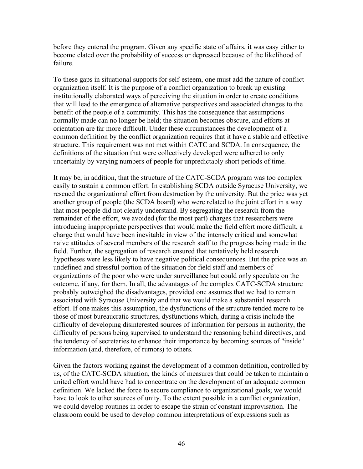before they entered the program. Given any specific state of affairs, it was easy either to become elated over the probability of success or depressed because of the likelihood of failure.

To these gaps in situational supports for self-esteem, one must add the nature of conflict organization itself. It is the purpose of a conflict organization to break up existing institutionally elaborated ways of perceiving the situation in order to create conditions that will lead to the emergence of alternative perspectives and associated changes to the benefit of the people of a community. This has the consequence that assumptions normally made can no longer be held; the situation becomes obscure, and efforts at orientation are far more difficult. Under these circumstances the development of a common definition by the conflict organization requires that it have a stable and effective structure. This requirement was not met within CATC and SCDA. In consequence, the definitions of the situation that were collectively developed were adhered to only uncertainly by varying numbers of people for unpredictably short periods of time.

It may be, in addition, that the structure of the CATC-SCDA program was too complex easily to sustain a common effort. In establishing SCDA outside Syracuse University, we rescued the organizational effort from destruction by the university. But the price was yet another group of people (the SCDA board) who were related to the joint effort in a way that most people did not clearly understand. By segregating the research from the remainder of the effort, we avoided (for the most part) charges that researchers were introducing inappropriate perspectives that would make the field effort more difficult, a charge that would have been inevitable in view of the intensely critical and somewhat naive attitudes of several members of the research staff to the progress being made in the field. Further, the segregation of research ensured that tentatively held research hypotheses were less likely to have negative political consequences. But the price was an undefined and stressful portion of the situation for field staff and members of organizations of the poor who were under surveillance but could only speculate on the outcome, if any, for them. In all, the advantages of the complex CATC-SCDA structure probably outweighed the disadvantages, provided one assumes that we had to remain associated with Syracuse University and that we would make a substantial research effort. If one makes this assumption, the dysfunctions of the structure tended more to be those of most bureaucratic structures, dysfunctions which, during a crisis include the difficulty of developing disinterested sources of information for persons in authority, the difficulty of persons being supervised to understand the reasoning behind directives, and the tendency of secretaries to enhance their importance by becoming sources of "inside" information (and, therefore, of rumors) to others.

Given the factors working against the development of a common definition, controlled by us, of the CATC-SCDA situation, the kinds of measures that could be taken to maintain a united effort would have had to concentrate on the development of an adequate common definition. We lacked the force to secure compliance to organizational goals; we would have to look to other sources of unity. To the extent possible in a conflict organization, we could develop routines in order to escape the strain of constant improvisation. The classroom could be used to develop common interpretations of expressions such as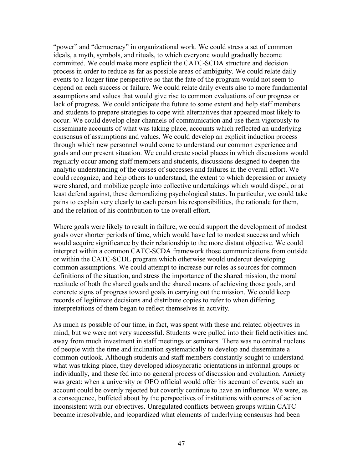"power" and "democracy" in organizational work. We could stress a set of common ideals, a myth, symbols, and rituals, to which everyone would gradually become committed. We could make more explicit the CATC-SCDA structure and decision process in order to reduce as far as possible areas of ambiguity. We could relate daily events to a longer time perspective so that the fate of the program would not seem to depend on each success or failure. We could relate daily events also to more fundamental assumptions and values that would give rise to common evaluations of our progress or lack of progress. We could anticipate the future to some extent and help staff members and students to prepare strategies to cope with alternatives that appeared most likely to occur. We could develop clear channels of communication and use them vigorously to disseminate accounts of what was taking place, accounts which reflected an underlying consensus of assumptions and values. We could develop an explicit induction process through which new personnel would come to understand our common experience and goals and our present situation. We could create social places in which discussions would regularly occur among staff members and students, discussions designed to deepen the analytic understanding of the causes of successes and failures in the overall effort. We could recognize, and help others to understand, the extent to which depression or anxiety were shared, and mobilize people into collective undertakings which would dispel, or at least defend against, these demoralizing psychological states. In particular, we could take pains to explain very clearly to each person his responsibilities, the rationale for them, and the relation of his contribution to the overall effort.

Where goals were likely to result in failure, we could support the development of modest goals over shorter periods of time, which would have led to modest success and which would acquire significance by their relationship to the more distant objective. We could interpret within a common CATC-SCDA framework those communications from outside or within the CATC-SCDL program which otherwise would undercut developing common assumptions. We could attempt to increase our roles as sources for common definitions of the situation, and stress the importance of the shared mission, the moral rectitude of both the shared goals and the shared means of achieving those goals, and concrete signs of progress toward goals in carrying out the mission. We could keep records of legitimate decisions and distribute copies to refer to when differing interpretations of them began to reflect themselves in activity.

As much as possible of our time, in fact, was spent with these and related objectives in mind, but we were not very successful. Students were pulled into their field activities and away from much investment in staff meetings or seminars. There was no central nucleus of people with the time and inclination systematically to develop and disseminate a common outlook. Although students and staff members constantly sought to understand what was taking place, they developed idiosyncratic orientations in informal groups or individually, and these fed into no general process of discussion and evaluation. Anxiety was great: when a university or OEO official would offer his account of events, such an account could be overtly rejected but covertly continue to have an influence. We were, as a consequence, buffeted about by the perspectives of institutions with courses of action inconsistent with our objectives. Unregulated conflicts between groups within CATC became irresolvable, and jeopardized what elements of underlying consensus had been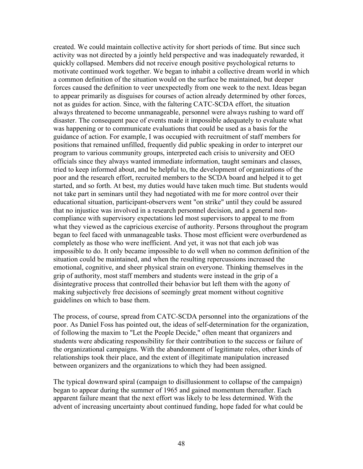created. We could maintain collective activity for short periods of time. But since such activity was not directed by a jointly held perspective and was inadequately rewarded, it quickly collapsed. Members did not receive enough positive psychological returns to motivate continued work together. We began to inhabit a collective dream world in which a common definition of the situation would on the surface be maintained, but deeper forces caused the definition to veer unexpectedly from one week to the next. Ideas began to appear primarily as disguises for courses of action already determined by other forces, not as guides for action. Since, with the faltering CATC-SCDA effort, the situation always threatened to become unmanageable, personnel were always rushing to ward off disaster. The consequent pace of events made it impossible adequately to evaluate what was happening or to communicate evaluations that could be used as a basis for the guidance of action. For example, I was occupied with recruitment of staff members for positions that remained unfilled, frequently did public speaking in order to interpret our program to various community groups, interpreted each crisis to university and OEO officials since they always wanted immediate information, taught seminars and classes, tried to keep informed about, and be helpful to, the development of organizations of the poor and the research effort, recruited members to the SCDA board and helped it to get started, and so forth. At best, my duties would have taken much time. But students would not take part in seminars until they had negotiated with me for more control over their educational situation, participant-observers went "on strike" until they could be assured that no injustice was involved in a research personnel decision, and a general noncompliance with supervisory expectations led most supervisors to appeal to me from what they viewed as the capricious exercise of authority. Persons throughout the program began to feel faced with unmanageable tasks. Those most efficient were overburdened as completely as those who were inefficient. And yet, it was not that each job was impossible to do. It only became impossible to do well when no common definition of the situation could be maintained, and when the resulting repercussions increased the emotional, cognitive, and sheer physical strain on everyone. Thinking themselves in the grip of authority, most staff members and students were instead in the grip of a disintegrative process that controlled their behavior but left them with the agony of making subjectively free decisions of seemingly great moment without cognitive guidelines on which to base them.

The process, of course, spread from CATC-SCDA personnel into the organizations of the poor. As Daniel Foss has pointed out, the ideas of self-determination for the organization, of following the maxim to "Let the People Decide," often meant that organizers and students were abdicating responsibility for their contribution to the success or failure of the organizational campaigns. With the abandonment of legitimate roles, other kinds of relationships took their place, and the extent of illegitimate manipulation increased between organizers and the organizations to which they had been assigned.

The typical downward spiral (campaign to disillusionment to collapse of the campaign) began to appear during the summer of 1965 and gained momentum thereafter. Each apparent failure meant that the next effort was likely to be less determined. With the advent of increasing uncertainty about continued funding, hope faded for what could be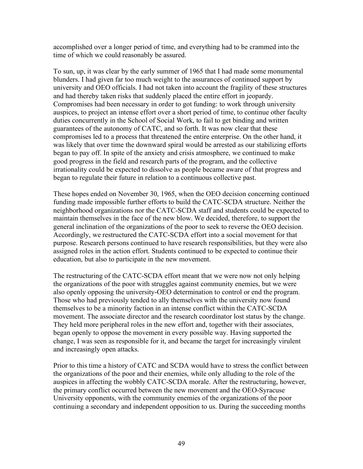accomplished over a longer period of time, and everything had to be crammed into the time of which we could reasonably be assured.

To sun, up, it was clear by the early summer of 1965 that I had made some monumental blunders. I had given far too much weight to the assurances of continued support by university and OEO officials. I had not taken into account the fragility of these structures and had thereby taken risks that suddenly placed the entire effort in jeopardy. Compromises had been necessary in order to got funding: to work through university auspices, to project an intense effort over a short period of time, to continue other faculty duties concurrently in the School of Social Work, to fail to get binding and written guarantees of the autonomy of CATC, and so forth. It was now clear that these compromises led to a process that threatened the entire enterprise. On the other hand, it was likely that over time the downward spiral would be arrested as our stabilizing efforts began to pay off. In spite of the anxiety and crisis atmosphere, we continued to make good progress in the field and research parts of the program, and the collective irrationality could be expected to dissolve as people became aware of that progress and began to regulate their future in relation to a continuous collective past.

These hopes ended on November 30, 1965, when the OEO decision concerning continued funding made impossible further efforts to build the CATC-SCDA structure. Neither the neighborhood organizations nor the CATC-SCDA staff and students could be expected to maintain themselves in the face of the new blow. We decided, therefore, to support the general inclination of the organizations of the poor to seek to reverse the OEO decision. Accordingly, we restructured the CATC-SCDA effort into a social movement for that purpose. Research persons continued to have research responsibilities, but they were also assigned roles in the action effort. Students continued to be expected to continue their education, but also to participate in the new movement.

The restructuring of the CATC-SCDA effort meant that we were now not only helping the organizations of the poor with struggles against community enemies, but we were also openly opposing the university-OEO determination to control or end the program. Those who had previously tended to ally themselves with the university now found themselves to be a minority faction in an intense conflict within the CATC-SCDA movement. The associate director and the research coordinator lost status by the change. They held more peripheral roles in the new effort and, together with their associates, began openly to oppose the movement in every possible way. Having supported the change, I was seen as responsible for it, and became the target for increasingly virulent and increasingly open attacks.

Prior to this time a history of CATC and SCDA would have to stress the conflict between the organizations of the poor and their enemies, while only alluding to the role of the auspices in affecting the wobbly CATC-SCDA morale. After the restructuring, however, the primary conflict occurred between the new movement and the OEO-Syracuse University opponents, with the community enemies of the organizations of the poor continuing a secondary and independent opposition to us. During the succeeding months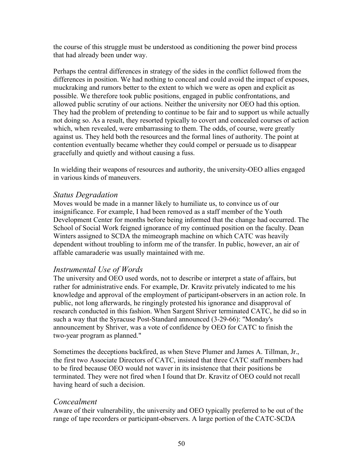the course of this struggle must be understood as conditioning the power bind process that had already been under way.

Perhaps the central differences in strategy of the sides in the conflict followed from the differences in position. We had nothing to conceal and could avoid the impact of exposes, muckraking and rumors better to the extent to which we were as open and explicit as possible. We therefore took public positions, engaged in public confrontations, and allowed public scrutiny of our actions. Neither the university nor OEO had this option. They had the problem of pretending to continue to be fair and to support us while actually not doing so. As a result, they resorted typically to covert and concealed courses of action which, when revealed, were embarrassing to them. The odds, of course, were greatly against us. They held both the resources and the formal lines of authority. The point at contention eventually became whether they could compel or persuade us to disappear gracefully and quietly and without causing a fuss.

In wielding their weapons of resources and authority, the university-OEO allies engaged in various kinds of maneuvers.

#### *Status Degradation*

Moves would be made in a manner likely to humiliate us, to convince us of our insignificance. For example, I had been removed as a staff member of the Youth Development Center for months before being informed that the change had occurred. The School of Social Work feigned ignorance of my continued position on the faculty. Dean Winters assigned to SCDA the mimeograph machine on which CATC was heavily dependent without troubling to inform me of the transfer. In public, however, an air of affable camaraderie was usually maintained with me.

#### *Instrumental Use of Words*

The university and OEO used words, not to describe or interpret a state of affairs, but rather for administrative ends. For example, Dr. Kravitz privately indicated to me his knowledge and approval of the employment of participant-observers in an action role. In public, not long afterwards, he ringingly protested his ignorance and disapproval of research conducted in this fashion. When Sargent Shriver terminated CATC, he did so in such a way that the Syracuse Post-Standard announced (3-29-66): "Monday's announcement by Shriver, was a vote of confidence by OEO for CATC to finish the two-year program as planned."

Sometimes the deceptions backfired, as when Steve Plumer and James A. Tillman, Jr., the first two Associate Directors of CATC, insisted that three CATC staff members had to be fired because OEO would not waver in its insistence that their positions be terminated. They were not fired when I found that Dr. Kravitz of OEO could not recall having heard of such a decision.

#### *Concealment*

Aware of their vulnerability, the university and OEO typically preferred to be out of the range of tape recorders or participant-observers. A large portion of the CATC-SCDA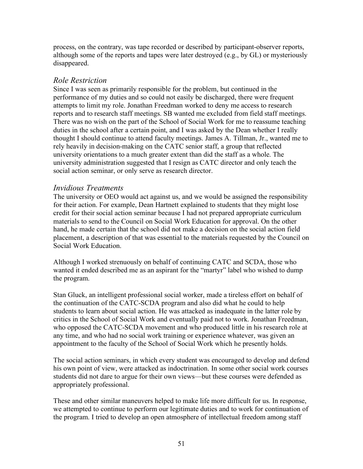process, on the contrary, was tape recorded or described by participant-observer reports, although some of the reports and tapes were later destroyed (e.g., by GL) or mysteriously disappeared.

#### *Role Restriction*

Since I was seen as primarily responsible for the problem, but continued in the performance of my duties and so could not easily be discharged, there were frequent attempts to limit my role. Jonathan Freedman worked to deny me access to research reports and to research staff meetings. SB wanted me excluded from field staff meetings. There was no wish on the part of the School of Social Work for me to reassume teaching duties in the school after a certain point, and I was asked by the Dean whether I really thought I should continue to attend faculty meetings. James A. Tillman, Jr., wanted me to rely heavily in decision-making on the CATC senior staff, a group that reflected university orientations to a much greater extent than did the staff as a whole. The university administration suggested that I resign as CATC director and only teach the social action seminar, or only serve as research director.

#### *Invidious Treatments*

The university or OEO would act against us, and we would be assigned the responsibility for their action. For example, Dean Hartnett explained to students that they might lose credit for their social action seminar because I had not prepared appropriate curriculum materials to send to the Council on Social Work Education for approval. On the other hand, he made certain that the school did not make a decision on the social action field placement, a description of that was essential to the materials requested by the Council on Social Work Education.

Although I worked strenuously on behalf of continuing CATC and SCDA, those who wanted it ended described me as an aspirant for the "martyr" label who wished to dump the program.

Stan Gluck, an intelligent professional social worker, made a tireless effort on behalf of the continuation of the CATC-SCDA program and also did what he could to help students to learn about social action. He was attacked as inadequate in the latter role by critics in the School of Social Work and eventually paid not to work. Jonathan Freedman, who opposed the CATC-SCDA movement and who produced little in his research role at any time, and who had no social work training or experience whatever, was given an appointment to the faculty of the School of Social Work which he presently holds.

The social action seminars, in which every student was encouraged to develop and defend his own point of view, were attacked as indoctrination. In some other social work courses students did not dare to argue for their own views—but these courses were defended as appropriately professional.

These and other similar maneuvers helped to make life more difficult for us. In response, we attempted to continue to perform our legitimate duties and to work for continuation of the program. I tried to develop an open atmosphere of intellectual freedom among staff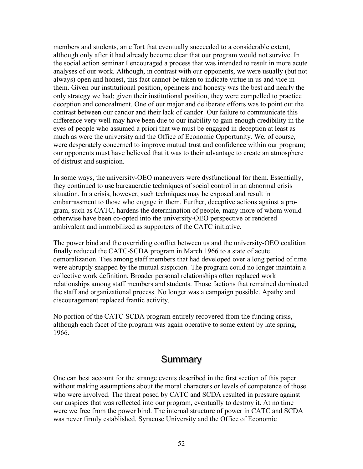members and students, an effort that eventually succeeded to a considerable extent, although only after it had already become clear that our program would not survive. In the social action seminar I encouraged a process that was intended to result in more acute analyses of our work. Although, in contrast with our opponents, we were usually (but not always) open and honest, this fact cannot be taken to indicate virtue in us and vice in them. Given our institutional position, openness and honesty was the best and nearly the only strategy we had; given their institutional position, they were compelled to practice deception and concealment. One of our major and deliberate efforts was to point out the contrast between our candor and their lack of candor. Our failure to communicate this difference very well may have been due to our inability to gain enough credibility in the eyes of people who assumed a priori that we must be engaged in deception at least as much as were the university and the Office of Economic Opportunity. We, of course, were desperately concerned to improve mutual trust and confidence within our program; our opponents must have believed that it was to their advantage to create an atmosphere of distrust and suspicion.

In some ways, the university-OEO maneuvers were dysfunctional for them. Essentially, they continued to use bureaucratic techniques of social control in an abnormal crisis situation. In a crisis, however, such techniques may be exposed and result in embarrassment to those who engage in them. Further, deceptive actions against a program, such as CATC, hardens the determination of people, many more of whom would otherwise have been co-opted into the university-OEO perspective or rendered ambivalent and immobilized as supporters of the CATC initiative.

The power bind and the overriding conflict between us and the university-OEO coalition finally reduced the CATC-SCDA program in March 1966 to a state of acute demoralization. Ties among staff members that had developed over a long period of time were abruptly snapped by the mutual suspicion. The program could no longer maintain a collective work definition. Broader personal relationships often replaced work relationships among staff members and students. Those factions that remained dominated the staff and organizational process. No longer was a campaign possible. Apathy and discouragement replaced frantic activity.

No portion of the CATC-SCDA program entirely recovered from the funding crisis, although each facet of the program was again operative to some extent by late spring, 1966.

#### **Summary**

One can best account for the strange events described in the first section of this paper without making assumptions about the moral characters or levels of competence of those who were involved. The threat posed by CATC and SCDA resulted in pressure against our auspices that was reflected into our program, eventually to destroy it. At no time were we free from the power bind. The internal structure of power in CATC and SCDA was never firmly established. Syracuse University and the Office of Economic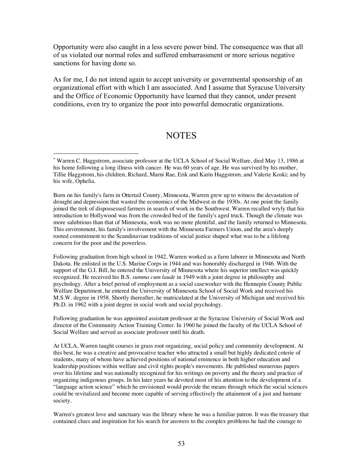Opportunity were also caught in a less severe power bind. The consequence was that all of us violated our normal roles and suffered embarrassment or more serious negative sanctions for having done so.

As for me, I do not intend again to accept university or governmental sponsorship of an organizational effort with which I am associated. And I assume that Syracuse University and the Office of Economic Opportunity have learned that they cannot, under present conditions, even try to organize the poor into powerful democratic organizations.

#### **NOTES**

 $\overline{a}$ 

Born on his family's farm in Ottertail County, Minnesota, Warren grew up to witness the devastation of drought and depression that wasted the economics of the Midwest in the 1930s. At one point the family joined the trek of dispossessed farmers in search of work in the Southwest. Warren recalled wryly that his introduction to Hollywood was from the crowded bed of the family's aged truck. Though the climate was more salubrious than that of Minnesota, work was no more plentiful, and the family returned to Minnesota. This environment, his family's involvement with the Minnesota Farmers Union, and the area's deeply rooted commitment to the Scandinavian traditions of social justice shaped what was to be a lifelong concern for the poor and the powerless.

Following graduation from high school in 1942, Warren worked as a farm laborer in Minnesota and North Dakota. He enlisted in the U.S. Marine Corps in 1944 and was honorably discharged in 1946. With the support of the G.I. Bill, he entered the University of Minnesota where his superior intellect was quickly recognized. He received his B.S. *summa cum laude* in 1949 with a joint degree in philosophy and psychology. After a brief period of employment as a social caseworker with the Hennepin County Public Welfare Department, he entered the University of Minnesota School of Social Work and received his M.S.W. degree in 1958. Shortly thereafter, he matriculated at the University of Michigan and received his Ph.D. in 1962 with a joint degree in social work and social psychology.

Following graduation he was appointed assistant professor at the Syracuse University of Social Work and director of the Community Action Training Center. In 1960 he joined the faculty of the UCLA School of Social Welfare and served as associate professor until his death.

At UCLA, Warren taught courses in grass root organizing, social policy and community development. At this best, he was a creative and provocative teacher who attracted a small but highly dedicated coterie of students, many of whom have achieved positions of national eminence in both higher education and leadership positions within welfare and civil rights people's movements. He published numerous papers over his lifetime and was nationally recognized for his writings on poverty and the theory and practice of organizing indigenous groups. In his later years he devoted most of his attention to the development of a "language action science" which he envisioned would provide the means through which the social sciences could be revitalized and become more capable of serving effectively the attainment of a just and humane society.

Warren's greatest love and sanctuary was the library where he was a familiar patron. It was the treasury that contained clues and inspiration for his search for answers to the complex problems he had the courage to

<sup>\*</sup> Warren C. Haggstrom, associate professor at the UCLA School of Social Welfare, died May 13, 1986 at his home following a long illness with cancer. He was 60 years of age. He was survived by his mother, Tillie Haggstrom, his children, Richard, Marni Rae, Erik and Karin Haggstrom, and Valerie Koski; and by his wife, Ophelia.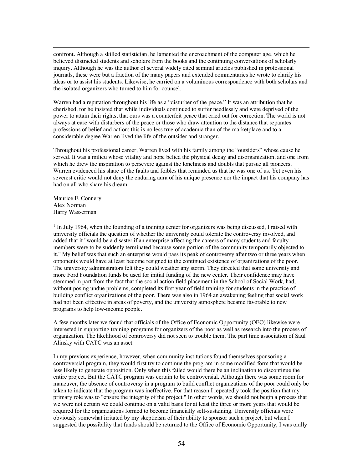confront. Although a skilled statistician, he lamented the encroachment of the computer age, which he believed distracted students and scholars from the books and the continuing conversations of scholarly inquiry. Although he was the author of several widely cited seminal articles published in professional journals, these were but a fraction of the many papers and extended commentaries he wrote to clarify his ideas or to assist his students. Likewise, he carried on a voluminous correspondence with both scholars and the isolated organizers who turned to him for counsel.

Warren had a reputation throughout his life as a "disturber of the peace." It was an attribution that he cherished, for he insisted that while individuals continued to suffer needlessly and were deprived of the power to attain their rights, that ours was a counterfeit peace that cried out for correction. The world is not always at ease with disturbers of the peace or those who draw attention to the distance that separates professions of belief and action; this is no less true of academia than of the marketplace and to a considerable degree Warren lived the life of the outsider and stranger.

Throughout his professional career, Warren lived with his family among the "outsiders" whose cause he served. It was a milieu whose vitality and hope belied the physical decay and disorganization, and one from which he drew the inspiration to persevere against the loneliness and doubts that pursue all pioneers. Warren evidenced his share of the faults and foibles that reminded us that he was one of us. Yet even his severest critic would not deny the enduring aura of his unique presence nor the impact that his company has had on all who share his dream.

Maurice F. Connery Alex Norman Harry Wasserman

 $\overline{a}$ 

 $<sup>1</sup>$  In July 1964, when the founding of a training center for organizers was being discussed, I raised with</sup> university officials the question of whether the university could tolerate the controversy involved, and added that it "would be a disaster if an enterprise affecting the careers of many students and faculty members were to be suddenly terminated because some portion of the community temporarily objected to it." My belief was that such an enterprise would pass its peak of controversy after two or three years when opponents would have at least become resigned to the continued existence of organizations of the poor. The university administrators felt they could weather any storm. They directed that some university and more Ford Foundation funds be used for initial funding of the new center. Their confidence may have stemmed in part from the fact that the social action field placement in the School of Social Work, had, without posing undue problems, completed its first year of field training for students in the practice of building conflict organizations of the poor. There was also in 1964 an awakening feeling that social work had not been effective in areas of poverty, and the university atmosphere became favorable to new programs to help low-income people.

A few months later we found that officials of the Office of Economic Opportunity (OEO) likewise were interested in supporting training programs for organizers of the poor as well as research into the process of organization. The likelihood of controversy did not seen to trouble them. The part time association of Saul Alinsky with CATC was an asset.

In my previous experience, however, when community institutions found themselves sponsoring a controversial program, they would first try to continue the program in some modified form that would be less likely to generate opposition. Only when this failed would there be an inclination to discontinue the entire project. But the CATC program was certain to be controversial. Although there was some room for maneuver, the absence of controversy in a program to build conflict organizations of the poor could only be taken to indicate that the program was ineffective. For that reason I repeatedly took the position that my primary role was to "ensure the integrity of the project." In other words, we should not begin a process that we were not certain we could continue on a valid basis for at least the three or more years that would be required for the organizations formed to become financially self-sustaining. University officials were obviously somewhat irritated by my skepticism of their ability to sponsor such a project, but when I suggested the possibility that funds should be returned to the Office of Economic Opportunity, I was orally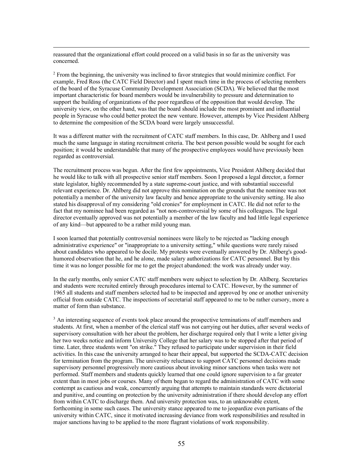reassured that the organizational effort could proceed on a valid basis in so far as the university was concerned.

 $\overline{a}$ 

<sup>2</sup> From the beginning, the university was inclined to favor strategies that would minimize conflict. For example, Fred Ross (the CATC Field Director) and I spent much time in the process of selecting members of the board of the Syracuse Community Development Association (SCDA). We believed that the most important characteristic for board members would be invulnerability to pressure and determination to support the building of organizations of the poor regardless of the opposition that would develop. The university view, on the other hand, was that the board should include the most prominent and influential people in Syracuse who could better protect the new venture. However, attempts by Vice President Ahlberg to determine the composition of the SCDA board were largely unsuccessful.

It was a different matter with the recruitment of CATC staff members. In this case, Dr. Ahlberg and I used much the same language in stating recruitment criteria. The best person possible would be sought for each position; it would be understandable that many of the prospective employees would have previously been regarded as controversial.

The recruitment process was begun. After the first few appointments, Vice President Ahlberg decided that he would like to talk with all prospective senior staff members. Soon I proposed a legal director, a former state legislator, highly recommended by a state supreme-court justice, and with substantial successful relevant experience. Dr. Ahlberg did not approve this nomination on the grounds that the nominee was not potentially a member of the university law faculty and hence appropriate to the university setting. He also stated his disapproval of my considering "old cronies" for employment in CATC. He did not refer to the fact that my nominee had been regarded as "not non-controversial by some of his colleagues. The legal director eventually approved was not potentially a member of the law faculty and had little legal experience of any kind—but appeared to be a rather mild young man.

I soon learned that potentially controversial nominees were likely to be rejected as "lacking enough administrative experience" or "inappropriate to a university setting," while questions were rarely raised about candidates who appeared to be docile. My protests were eventually answered by Dr. Ahlberg's goodhumored observation that he, and he alone, made salary authorizations for CATC personnel. But by this time it was no longer possible for me to get the project abandoned: the work was already under way.

In the early months, only senior CATC staff members were subject to selection by Dr. Ahlberg. Secretaries and students were recruited entirely through procedures internal to CATC. However, by the summer of 1965 all students and staff members selected had to be inspected and approved by one or another university official from outside CATC. The inspections of secretarial staff appeared to me to be rather cursory, more a matter of form than substance.

<sup>3</sup> An interesting sequence of events took place around the prospective terminations of staff members and students. At first, when a member of the clerical staff was not carrying out her duties, after several weeks of supervisory consultation with her about the problem, her discharge required only that I write a letter giving her two weeks notice and inform University College that her salary was to be stopped after that period of time. Later, three students went "on strike." They refused to participate under supervision in their field activities. In this case the university arranged to hear their appeal, but supported the SCDA-CATC decision for termination from the program. The university reluctance to support CATC personnel decisions made supervisory personnel progressively more cautious about invoking minor sanctions when tasks were not performed. Staff members and students quickly learned that one could ignore supervision to a far greater extent than in most jobs or courses. Many of them began to regard the administration of CATC with some contempt as cautious and weak, concurrently arguing that attempts to maintain standards were dictatorial and punitive, and counting on protection by the university administration if there should develop any effort from within CATC to discharge them. And university protection was, to an unknowable extent, forthcoming in some such cases. The university stance appeared to me to jeopardize even partisans of the university within CATC, since it motivated increasing deviance from work responsibilities and resulted in major sanctions having to be applied to the more flagrant violations of work responsibility.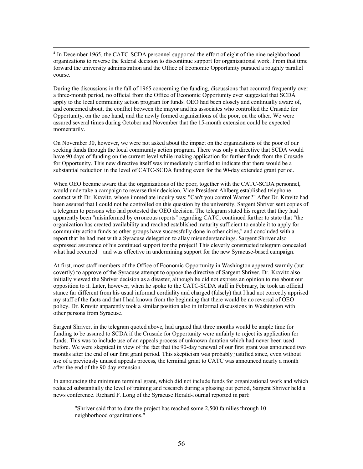<sup>4</sup> In December 1965, the CATC-SCDA personnel supported the effort of eight of the nine neighborhood organizations to reverse the federal decision to discontinue support for organizational work. From that time forward the university administration and the Office of Economic Opportunity pursued a roughly parallel course.

During the discussions in the fall of 1965 concerning the funding, discussions that occurred frequently over a three-month period, no official from the Office of Economic Opportunity ever suggested that SCDA apply to the local community action program for funds. OEO had been closely and continually aware of, and concerned about, the conflict between the mayor and his associates who controlled the Crusade for Opportunity, on the one hand, and the newly formed organizations of the poor, on the other. We were assured several times during October and November that the 15-month extension could be expected momentarily.

On November 30, however, we were not asked about the impact on the organizations of the poor of our seeking funds through the local community action program. There was only a directive that SCDA would have 90 days of funding on the current level while making application for further funds from the Crusade for Opportunity. This new directive itself was immediately clarified to indicate that there would be a substantial reduction in the level of CATC-SCDA funding even for the 90-day extended grant period.

When OEO became aware that the organizations of the poor, together with the CATC-SCDA personnel, would undertake a campaign to reverse their decision, Vice President Ahlberg established telephone contact with Dr. Kravitz, whose immediate inquiry was: "Can't you control Warren?" After Dr. Kravitz had been assured that I could not be controlled on this question by the university, Sargent Shriver sent copies of a telegram to persons who had protested the OEO decision. The telegram stated his regret that they had apparently been "misinformed by erroneous reports" regarding CATC, continued further to state that "the organization has created availability and reached established maturity sufficient to enable it to apply for community action funds as other groups have successfully done in other cities," and concluded with a report that he had met with a Syracuse delegation to allay misunderstandings. Sargent Shriver also expressed assurance of his continued support for the project! This cleverly constructed telegram concealed what had occurred—and was effective in undermining support for the new Syracuse-based campaign.

At first, most staff members of the Office of Economic Opportunity in Washington appeared warmly (but covertly) to approve of the Syracuse attempt to oppose the directive of Sargent Shriver. Dr. Kravitz also initially viewed the Shriver decision as a disaster, although he did not express an opinion to me about our opposition to it. Later, however, when he spoke to the CATC-SCDA staff in February, he took an official stance far different from his usual informal cordiality and charged (falsely) that I had not correctly apprised my staff of the facts and that I had known from the beginning that there would be no reversal of OEO policy. Dr. Kravitz apparently took a similar position also in informal discussions in Washington with other persons from Syracuse.

Sargent Shriver, in the telegram quoted above, had argued that three months would be ample time for funding to be assured to SCDA if the Crusade for Opportunity were unfairly to reject its application for funds. This was to include use of an appeals process of unknown duration which had never been used before. We were skeptical in view of the fact that the 90-day renewal of our first grant was announced two months after the end of our first grant period. This skepticism was probably justified since, even without use of a previously unused appeals process, the terminal grant to CATC was announced nearly a month after the end of the 90-day extension.

In announcing the minimum terminal grant, which did not include funds for organizational work and which reduced substantially the level of training and research during a phasing out period, Sargent Shriver held a news conference. Richard F. Long of the Syracuse Herald-Journal reported in part:

"Shriver said that to date the project has reached some 2,500 families through 10 neighborhood organizations."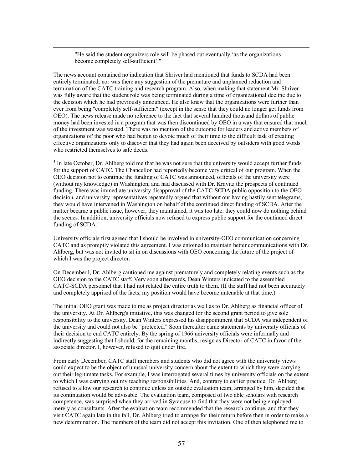"He said the student organizers role will be phased out eventually 'as the organizations become completely self-sufficient'."

 $\overline{a}$ 

The news account contained no indication that Shriver had mentioned that funds to SCDA had been entirely terminated; nor was there any suggestion of the premature and unplanned reduction and termination of the CATC training and research program. Also, when making that statement Mr. Shriver was fully aware that the student role was being terminated during a time of organizational decline due to the decision which he had previously announced. He also knew that the organizations were further than ever from being "completely self-sufficient" (except in the sense that they could no longer get funds from OEO). The news release made no reference to the fact that several hundred thousand dollars of public money had been invested in a program that was then discontinued by OEO in a way that ensured that much of the investment was wasted. There was no mention of the outcome for leaders and active members of organizations of' the poor who had begun to devote much of their time to the difficult task of creating effective organizations only to discover that they had again been deceived by outsiders with good words who restricted themselves to safe deeds.

<sup>5</sup> In late October, Dr. Ahlberg told me that he was not sure that the university would accept further funds for the support of CATC. The Chancellor had reportedly become very critical of our program. When the OEO decision not to continue the funding of CATC was announced, officials of the university were (without my knowledge) in Washington, and had discussed with Dr. Kravitz the prospects of continued funding. There was immediate university disapproval of the CATC-SCDA public opposition to the OEO decision, and university representatives repeatedly argued that without our having hastily sent telegrams, they would have intervened in Washington on behalf of the continued direct funding of SCDA. After the matter became a public issue, however, they maintained, it was too late: they could now do nothing behind the scenes. In addition, university officials now refused to express public support for the continued direct funding of SCDA.

University officials first agreed that I should be involved in university-OEO communication concerning CATC and as promptly violated this agreement. I was enjoined to maintain better communications with Dr. Ahlberg, but was not invited to sit in on discussions with OEO concerning the future of the project of which I was the project director.

On December l, Dr. Ahlberg cautioned me against prematurely and completely relating events such as the OEO decision to the CATC staff. Very soon afterwards, Dean Winters indicated to the assembled CATC-SCDA personnel that I had not related the entire truth to them. (If the staff had not been accurately and completely apprised of the facts, my position would have become untenable at that time.)

The initial OEO grant was made to me as project director as well as to Dr. Ahlberg as financial officer of the university. At Dr. Ahlberg's initiative, this was changed for the second grant period to give sole responsibility to the university. Dean Winters expressed his disappointment that SCDA was independent of the university and could not also be "protected." Soon thereafter came statements by university officials of their decision to end CATC entirely. By the spring of 1966 university officials were informally and indirectly suggesting that I should, for the remaining months, resign as Director of CATC in favor of the associate director. I, however, refused to quit under fire.

From early December, CATC staff members and students who did not agree with the university views could expect to be the object of unusual university concern about the extent to which they were carrying out their legitimate tasks. For example, I was interrogated several times by university officials on the extent to which I was carrying out my teaching responsibilities. And, contrary to earlier practice, Dr. Ahlberg refused to allow our research to continue unless an outside evaluation team, arranged by him, decided that its continuation would be advisable. The evaluation team, composed of two able scholars with research competence, was surprised when they arrived in Syracuse to find that they were not being employed merely as consultants. After the evaluation team recommended that the research continue, and that they visit CATC again late in the fall, Dr. Ahlberg tried to arrange for their return before then in order to make a new determination. The members of the team did not accept this invitation. One of then telephoned me to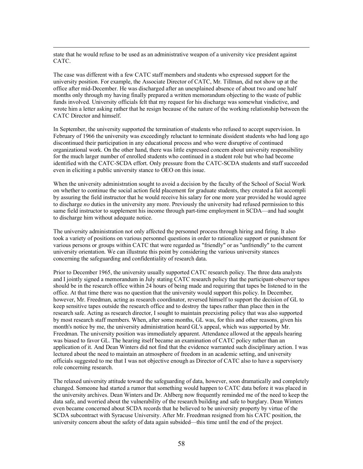state that he would refuse to be used as an administrative weapon of a university vice president against CATC.

 $\overline{a}$ 

The case was different with a few CATC staff members and students who expressed support for the university position. For example, the Associate Director of CATC, Mr. Tillman, did not show up at the office after mid-December. He was discharged after an unexplained absence of about two and one half months only through my having finally prepared a written memorandum objecting to the waste of public funds involved. University officials felt that my request for his discharge was somewhat vindictive, and wrote him a letter asking rather that he resign because of the nature of the working relationship between the CATC Director and himself.

In September, the university supported the termination of students who refused to accept supervision. In February of 1966 the university was exceedingly reluctant to terminate dissident students who had long ago discontinued their participation in any educational process and who were disruptive of continued organizational work. On the other hand, there was little expressed concern about university responsibility for the much larger number of enrolled students who continued in a student role but who had become identified with the CATC-SCDA effort. Only pressure from the CATC-SCDA students and staff succeeded even in eliciting a public university stance to OEO on this issue.

When the university administration sought to avoid a decision by the faculty of the School of Social Work on whether to continue the social action field placement for graduate students, they created a fait accompli by assuring the field instructor that he would receive his salary for one more year provided he would agree to discharge *no* duties in the university any more. Previously the university had refused permission to this same field instructor to supplement his income through part-time employment in SCDA—and had sought to discharge him without adequate notice.

The university administration not only affected the personnel process through hiring and firing. It also took a variety of positions on various personnel questions in order to rationalize support or punishment for various persons or groups within CATC that were regarded as "friendly" or as "unfriendly" to the current university orientation. We can illustrate this point by considering the various university stances concerning the safeguarding and confidentiality of research data.

Prior to December 1965, the university usually supported CATC research policy. The three data analysts and I jointly signed a memorandum in July stating CATC research policy that the participant-observer tapes should be in the research office within 24 hours of being made and requiring that tapes be listened to in the office. At that time there was no question that the university would support this policy. In December, however, Mr. Freedman, acting as research coordinator, reversed himself to support the decision of GL to keep sensitive tapes outside the research office and to destroy the tapes rather than place then in the research safe. Acting as research director, I sought to maintain preexisting policy that was also supported by most research staff members. When, after some months, GL was, for this and other reasons, given his month's notice by me, the university administration heard GL's appeal, which was supported by Mr. Freedman. The university position was immediately apparent. Attendance allowed at the appeals hearing was biased to favor GL. The hearing itself became an examination of CATC policy rather than an application of it. And Dean Winters did not find that the evidence warranted such disciplinary action. I was lectured about the need to maintain an atmosphere of freedom in an academic setting, and university officials suggested to me that I was not objective enough as Director of CATC also to have a supervisory role concerning research.

The relaxed university attitude toward the safeguarding of data, however, soon dramatically and completely changed. Someone had started a rumor that something would happen to CATC data before it was placed in the university archives. Dean Winters and Dr. Ahlberg now frequently reminded me of the need to keep the data safe, and worried about the vulnerability of the research building and safe to burglary. Dean Winters even became concerned about SCDA records that he believed to be university property by virtue of the SCDA subcontract with Syracuse University. After Mr. Freedman resigned from his CATC position, the university concern about the safety of data again subsided—this time until the end of the project.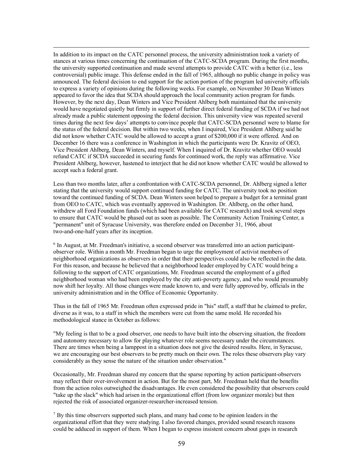In addition to its impact on the CATC personnel process, the university administration took a variety of stances at various times concerning the continuation of the CATC-SCDA program. During the first months, the university supported continuation and made several attempts to provide CATC with a better (i.e., less controversial) public image. This defense ended in the fall of 1965, although no public change in policy was announced. The federal decision to end support for the action portion of the program led university officials to express a variety of opinions during the following weeks. For example, on November 30 Dean Winters appeared to favor the idea that SCDA should approach the local community action program for funds. However, by the next day, Dean Winters and Vice President Ahlberg both maintained that the university would have negotiated quietly but firmly in support of further direct federal funding of SCDA if we had not already made a public statement opposing the federal decision. This university view was repeated several times during the next few days' attempts to convince people that CATC-SCDA personnel were to blame for the status of the federal decision. But within two weeks, when I inquired, Vice President Ahlberg said he did not know whether CATC would be allowed to accept a grant of \$200,000 if it were offered. And on December 16 there was a conference in Washington in which the participants were Dr. Kravitz of OEO, Vice President Ahlberg, Dean Winters, and myself. When I inquired of Dr. Kravitz whether OEO would refund CATC if SCDA succeeded in securing funds for continued work, the reply was affirmative. Vice President Ahlberg, however, hastened to interject that he did not know whether CATC would be allowed to accept such a federal grant.

 $\overline{a}$ 

Less than two months later, after a confrontation with CATC-SCDA personnel, Dr. Ahlberg signed a letter stating that the university would support continued funding for CATC. The university took no position toward the continued funding of SCDA. Dean Winters soon helped to prepare a budget for a terminal grant from OEO to CATC, which was eventually approved in Washington. Dr. Ahlberg, on the other hand, withdrew all Ford Foundation funds (which had been available for CATC research) and took several steps to ensure that CATC would be phased out as soon as possible. The Community Action Training Center, a "permanent" unit of Syracuse University, was therefore ended on December 31, 1966, about two-and-one-half years after its inception.

<sup>6</sup> In August, at Mr. Freedman's initiative, a second observer was transferred into an action participantobserver role. Within a month Mr. Freedman began to urge the employment of activist members of neighborhood organizations as observers in order that their perspectives could also be reflected in the data. For this reason, and because he believed that a neighborhood leader employed by CATC would bring a following to the support of CATC organizations, Mr. Freedman secured the employment of a gifted neighborhood woman who had been employed by the city anti-poverty agency, and who would presumably now shift her loyalty. All those changes were made known to, and were fully approved by, officials in the university administration and in the Office of Economic Opportunity.

Thus in the fall of 1965 Mr. Freedman often expressed pride in "his" staff, a staff that he claimed to prefer, diverse as it was, to a staff in which the members were cut from the same mold. He recorded his methodological stance in October as follows:

"My feeling is that to be a good observer, one needs to have built into the observing situation, the freedom and autonomy necessary to allow for playing whatever role seems necessary under the circumstances. There are times when being a lamppost in a situation does not give the desired results. Here, in Syracuse, we are encouraging our best observers to be pretty much on their own. The roles these observers play vary considerably as they sense the nature of the situation under observation."

Occasionally, Mr. Freedman shared my concern that the sparse reporting by action participant-observers may reflect their over-involvement in action. But for the most part, Mr. Freedman held that the benefits from the action roles outweighed the disadvantages. He even considered the possibility that observers could "take up the slack" which had arisen in the organizational effort (from low organizer morale) but then rejected the risk of associated organizer-researcher-increased tension.

 $<sup>7</sup>$  By this time observers supported such plans, and many had come to be opinion leaders in the</sup> organizational effort that they were studying. I also favored changes, provided sound research reasons could be adduced in support of them. When I began to express insistent concern about gaps in research